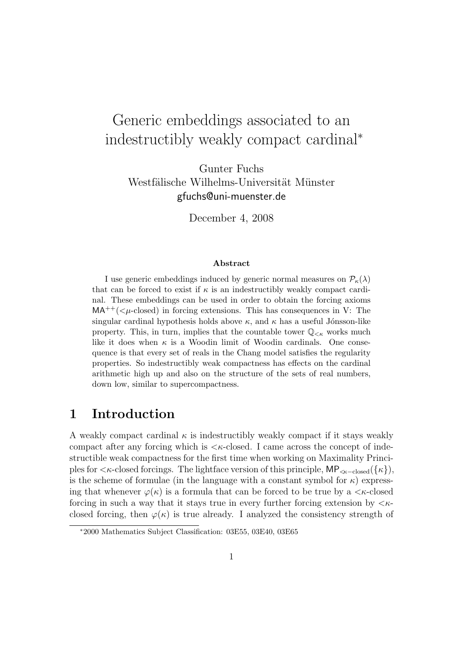# Generic embeddings associated to an indestructibly weakly compact cardinal<sup>∗</sup>

Gunter Fuchs Westfälische Wilhelms-Universität Münster gfuchs@uni-muenster.de

December 4, 2008

#### Abstract

I use generic embeddings induced by generic normal measures on  $\mathcal{P}_{\kappa}(\lambda)$ that can be forced to exist if  $\kappa$  is an indestructibly weakly compact cardinal. These embeddings can be used in order to obtain the forcing axioms  $MA^{++}(*u*-closed)$  in forcing extensions. This has consequences in V: The singular cardinal hypothesis holds above  $\kappa$ , and  $\kappa$  has a useful Jónsson-like property. This, in turn, implies that the countable tower  $\mathbb{Q}_{\leq \kappa}$  works much like it does when  $\kappa$  is a Woodin limit of Woodin cardinals. One consequence is that every set of reals in the Chang model satisfies the regularity properties. So indestructibly weak compactness has effects on the cardinal arithmetic high up and also on the structure of the sets of real numbers, down low, similar to supercompactness.

### 1 Introduction

A weakly compact cardinal  $\kappa$  is indestructibly weakly compact if it stays weakly compact after any forcing which is  $\lt \kappa$ -closed. I came across the concept of indestructible weak compactness for the first time when working on Maximality Principles for  $\lt$ κ-closed forcings. The lightface version of this principle, MP<sub> $\lt$ κ-closed</sub>({ $\kappa$ }), is the scheme of formulae (in the language with a constant symbol for  $\kappa$ ) expressing that whenever  $\varphi(\kappa)$  is a formula that can be forced to be true by a  $\lt \kappa$ -closed forcing in such a way that it stays true in every further forcing extension by  $\langle \kappa \rangle$ closed forcing, then  $\varphi(\kappa)$  is true already. I analyzed the consistency strength of

<sup>∗</sup>2000 Mathematics Subject Classification: 03E55, 03E40, 03E65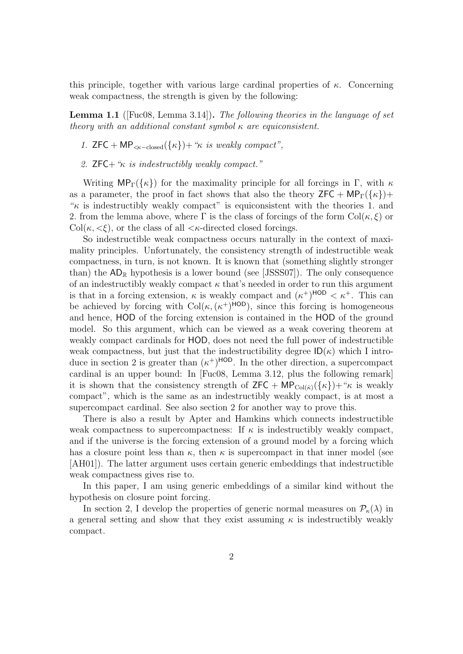this principle, together with various large cardinal properties of  $\kappa$ . Concerning weak compactness, the strength is given by the following:

**Lemma 1.1** (Fuc08, Lemma 3.14). The following theories in the language of set theory with an additional constant symbol  $\kappa$  are equiconsistent.

- 1.  $ZFC + MP_{\leq \kappa-\text{closed}}(\{\kappa\}) + \kappa$  is weakly compact",
- 2.  $ZFC+$  " $\kappa$  is indestructibly weakly compact."

Writing  $MP_{\Gamma}(\{\kappa\})$  for the maximality principle for all forcings in Γ, with  $\kappa$ as a parameter, the proof in fact shows that also the theory  $\mathsf{ZFC} + \mathsf{MP}_{\Gamma}(\{\kappa\}) +$  $\kappa$  is indestructibly weakly compact" is equiconsistent with the theories 1. and 2. from the lemma above, where  $\Gamma$  is the class of forcings of the form  $\text{Col}(\kappa, \xi)$  or Col( $\kappa$ ,  $\langle \xi \rangle$ , or the class of all  $\langle \kappa$ -directed closed forcings.

So indestructible weak compactness occurs naturally in the context of maximality principles. Unfortunately, the consistency strength of indestructible weak compactness, in turn, is not known. It is known that (something slightly stronger than) the  $AD_{\mathbb{R}}$  hypothesis is a lower bound (see [JSSS07]). The only consequence of an indestructibly weakly compact  $\kappa$  that's needed in order to run this argument is that in a forcing extension,  $\kappa$  is weakly compact and  $(\kappa^+)^{\text{HOD}} < \kappa^+$ . This can be achieved by forcing with  $Col(\kappa, (\kappa^+)^{\text{HOD}})$ , since this forcing is homogeneous and hence, HOD of the forcing extension is contained in the HOD of the ground model. So this argument, which can be viewed as a weak covering theorem at weakly compact cardinals for HOD, does not need the full power of indestructible weak compactness, but just that the indestructibility degree  $\mathsf{ID}(\kappa)$  which I introduce in section 2 is greater than  $(\kappa^+)^{\text{HOD}}$ . In the other direction, a supercompact cardinal is an upper bound: In [Fuc08, Lemma 3.12, plus the following remark] it is shown that the consistency strength of  $\mathsf{ZFC} + \mathsf{MP}_{\mathrm{Col}(\kappa)}(\{\kappa\}) + \kappa$  is weakly compact", which is the same as an indestructibly weakly compact, is at most a supercompact cardinal. See also section 2 for another way to prove this.

There is also a result by Apter and Hamkins which connects indestructible weak compactness to supercompactness: If  $\kappa$  is indestructibly weakly compact, and if the universe is the forcing extension of a ground model by a forcing which has a closure point less than  $\kappa$ , then  $\kappa$  is supercompact in that inner model (see [AH01]). The latter argument uses certain generic embeddings that indestructible weak compactness gives rise to.

In this paper, I am using generic embeddings of a similar kind without the hypothesis on closure point forcing.

In section 2, I develop the properties of generic normal measures on  $\mathcal{P}_{\kappa}(\lambda)$  in a general setting and show that they exist assuming  $\kappa$  is indestructibly weakly compact.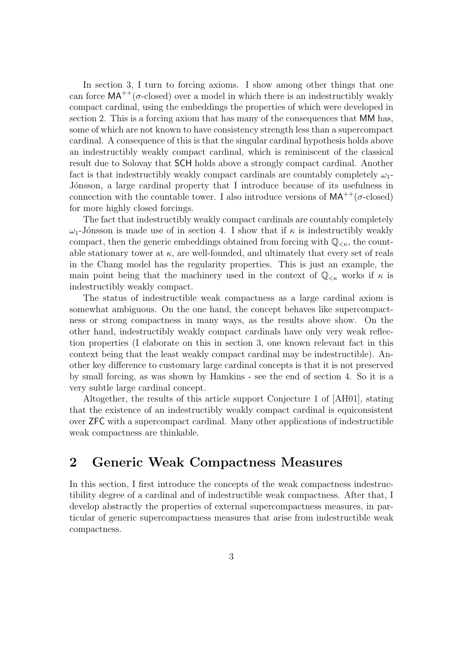In section 3, I turn to forcing axioms. I show among other things that one can force  $MA^{++}(\sigma$ -closed) over a model in which there is an indestructibly weakly compact cardinal, using the embeddings the properties of which were developed in section 2. This is a forcing axiom that has many of the consequences that MM has, some of which are not known to have consistency strength less than a supercompact cardinal. A consequence of this is that the singular cardinal hypothesis holds above an indestructibly weakly compact cardinal, which is reminiscent of the classical result due to Solovay that SCH holds above a strongly compact cardinal. Another fact is that indestructibly weakly compact cardinals are countably completely  $\omega_1$ -Jónsson, a large cardinal property that I introduce because of its usefulness in connection with the countable tower. I also introduce versions of  $MA^{++}(\sigma\text{-closed})$ for more highly closed forcings.

The fact that indestructibly weakly compact cardinals are countably completely  $ω_1$ -Jónsson is made use of in section 4. I show that if  $κ$  is indestructibly weakly compact, then the generic embeddings obtained from forcing with  $\mathbb{Q}_{\leq \kappa}$ , the countable stationary tower at  $\kappa$ , are well-founded, and ultimately that every set of reals in the Chang model has the regularity properties. This is just an example, the main point being that the machinery used in the context of  $\mathbb{Q}_{\leq \kappa}$  works if  $\kappa$  is indestructibly weakly compact.

The status of indestructible weak compactness as a large cardinal axiom is somewhat ambiguous. On the one hand, the concept behaves like supercompactness or strong compactness in many ways, as the results above show. On the other hand, indestructibly weakly compact cardinals have only very weak reflection properties (I elaborate on this in section 3, one known relevant fact in this context being that the least weakly compact cardinal may be indestructible). Another key difference to customary large cardinal concepts is that it is not preserved by small forcing, as was shown by Hamkins - see the end of section 4. So it is a very subtle large cardinal concept.

Altogether, the results of this article support Conjecture 1 of [AH01], stating that the existence of an indestructibly weakly compact cardinal is equiconsistent over ZFC with a supercompact cardinal. Many other applications of indestructible weak compactness are thinkable.

## 2 Generic Weak Compactness Measures

In this section, I first introduce the concepts of the weak compactness indestructibility degree of a cardinal and of indestructible weak compactness. After that, I develop abstractly the properties of external supercompactness measures, in particular of generic supercompactness measures that arise from indestructible weak compactness.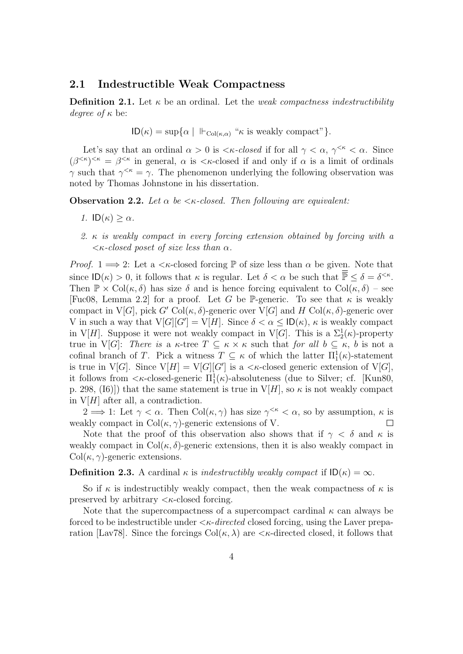#### 2.1 Indestructible Weak Compactness

**Definition 2.1.** Let  $\kappa$  be an ordinal. Let the *weak compactness indestructibility* degree of  $\kappa$  be:

$$
ID(\kappa) = \sup \{ \alpha \mid \ \Vdash_{Col(\kappa,\alpha)} \text{``\kappa is weakly compact''} \}.
$$

Let's say that an ordinal  $\alpha > 0$  is  $\lt \kappa$ -closed if for all  $\gamma < \alpha$ ,  $\gamma^{<\kappa} < \alpha$ . Since  $(\beta^{<\kappa})^{<\kappa} = \beta^{<\kappa}$  in general,  $\alpha$  is  $<\kappa$ -closed if and only if  $\alpha$  is a limit of ordinals  $\gamma$  such that  $\gamma^{<\kappa} = \gamma$ . The phenomenon underlying the following observation was noted by Thomas Johnstone in his dissertation.

**Observation 2.2.** Let  $\alpha$  be  $\lt$   $\kappa$ -closed. Then following are equivalent:

- 1.  $ID(\kappa) \geq \alpha$ .
- 2. κ is weakly compact in every forcing extension obtained by forcing with a  $\lt$ κ-closed poset of size less than  $\alpha$ .

*Proof.* 1  $\implies$  2: Let a  $\lt$  *k*-closed forcing  $\mathbb P$  of size less than  $\alpha$  be given. Note that since  $\mathsf{ID}(\kappa) > 0$ , it follows that  $\kappa$  is regular. Let  $\delta < \alpha$  be such that  $\overline{\mathbb{P}} \leq \delta = \delta^{<\kappa}$ . Then  $\mathbb{P} \times \text{Col}(\kappa, \delta)$  has size  $\delta$  and is hence forcing equivalent to  $\text{Col}(\kappa, \delta)$  – see [Fuc08, Lemma 2.2] for a proof. Let G be P-generic. To see that  $\kappa$  is weakly compact in  $V[G]$ , pick  $G' \text{Col}(\kappa, \delta)$ -generic over  $V[G]$  and H Col $(\kappa, \delta)$ -generic over V in such a way that  $V[G][G'] = V[H]$ . Since  $\delta < \alpha \leq \text{ID}(\kappa)$ ,  $\kappa$  is weakly compact in V[H]. Suppose it were not weakly compact in V[G]. This is a  $\Sigma_2^1(\kappa)$ -property true in V[G]: There is a  $\kappa$ -tree  $T \subseteq \kappa \times \kappa$  such that for all  $b \subseteq \kappa$ , b is not a cofinal branch of T. Pick a witness  $T \subseteq \kappa$  of which the latter  $\Pi_1^1(\kappa)$ -statement is true in V[G]. Since  $V[H] = V[G][G']$  is a  $\lt \kappa$ -closed generic extension of V[G], it follows from  $\langle \kappa$ -closed-generic  $\Pi_1^1(\kappa)$ -absoluteness (due to Silver; cf. [Kun80, p. 298, (I6)]) that the same statement is true in  $V[H]$ , so  $\kappa$  is not weakly compact in  $V[H]$  after all, a contradiction.

 $2 \implies 1$ : Let  $\gamma < \alpha$ . Then Col $(\kappa, \gamma)$  has size  $\gamma^{<\kappa} < \alpha$ , so by assumption,  $\kappa$  is weakly compact in  $Col(\kappa, \gamma)$ -generic extensions of V.  $\Box$ 

Note that the proof of this observation also shows that if  $\gamma < \delta$  and  $\kappa$  is weakly compact in  $Col(\kappa, \delta)$ -generic extensions, then it is also weakly compact in  $Col(\kappa, \gamma)$ -generic extensions.

**Definition 2.3.** A cardinal  $\kappa$  is indestructibly weakly compact if  $\mathsf{ID}(\kappa) = \infty$ .

So if  $\kappa$  is indestructibly weakly compact, then the weak compactness of  $\kappa$  is preserved by arbitrary  $\langle \kappa$ -closed forcing.

Note that the supercompactness of a supercompact cardinal  $\kappa$  can always be forced to be indestructible under  $\langle \kappa \text{-}directed$  closed forcing, using the Laver preparation [Lav78]. Since the forcings  $Col(\kappa, \lambda)$  are  $\lt \kappa$ -directed closed, it follows that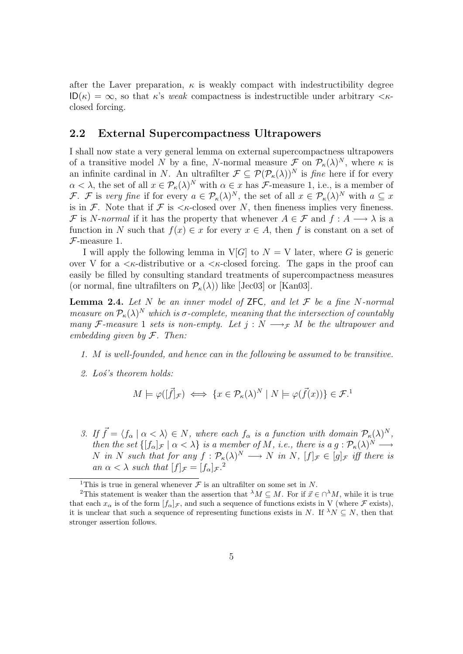after the Laver preparation,  $\kappa$  is weakly compact with indestructibility degree  $ID(\kappa) = \infty$ , so that  $\kappa$ 's weak compactness is indestructible under arbitrary  $\langle \kappa \cdot \rangle$ closed forcing.

### 2.2 External Supercompactness Ultrapowers

I shall now state a very general lemma on external supercompactness ultrapowers of a transitive model N by a fine, N-normal measure  $\mathcal F$  on  $\mathcal P_\kappa(\lambda)^N$ , where  $\kappa$  is an infinite cardinal in N. An ultrafilter  $\mathcal{F} \subseteq \mathcal{P}(\mathcal{P}_{\kappa}(\lambda))^N$  is fine here if for every  $\alpha < \lambda$ , the set of all  $x \in \mathcal{P}_{\kappa}(\lambda)^N$  with  $\alpha \in x$  has *F*-measure 1, i.e., is a member of F. F is very fine if for every  $a \in \mathcal{P}_{\kappa}(\lambda)^N$ , the set of all  $x \in \mathcal{P}_{\kappa}(\lambda)^N$  with  $a \subseteq x$ is in F. Note that if F is  $\lt$   $\lt$  -closed over N, then fineness implies very fineness. F is N-normal if it has the property that whenever  $A \in \mathcal{F}$  and  $f : A \longrightarrow \lambda$  is a function in N such that  $f(x) \in x$  for every  $x \in A$ , then f is constant on a set of  ${\mathcal F}\text{-measure}$  1.

I will apply the following lemma in  $V[G]$  to  $N = V$  later, where G is generic over V for a  $\lt k$ -distributive or a  $\lt k$ -closed forcing. The gaps in the proof can easily be filled by consulting standard treatments of supercompactness measures (or normal, fine ultrafilters on  $\mathcal{P}_{\kappa}(\lambda)$ ) like [Jec03] or [Kan03].

**Lemma 2.4.** Let N be an inner model of ZFC, and let  $\mathcal F$  be a fine N-normal measure on  $\mathcal{P}_{\kappa}(\lambda)^N$  which is  $\sigma$ -complete, meaning that the intersection of countably many F-measure 1 sets is non-empty. Let  $j : N \longrightarrow_{\mathcal{F}} M$  be the ultrapower and embedding given by  $F$ . Then:

- 1. M is well-founded, and hence can in the following be assumed to be transitive.
- 2. Los's theorem holds:

$$
M \models \varphi([\vec{f}]_{\mathcal{F}}) \iff \{x \in \mathcal{P}_{\kappa}(\lambda)^N \mid N \models \varphi(\vec{f}(x))\} \in \mathcal{F}^1
$$

3. If  $\vec{f} = \langle f_{\alpha} | \alpha < \lambda \rangle \in N$ , where each  $f_{\alpha}$  is a function with domain  $\mathcal{P}_{\kappa}(\lambda)^N$ , then the set  $\{[f_{\alpha}]_{\mathcal{F}} | \alpha < \lambda\}$  is a member of M, i.e., there is a  $g: \mathcal{P}_{\kappa}(\lambda)^N \longrightarrow$ N in N such that for any  $f: \mathcal{P}_{\kappa}(\lambda)^N \longrightarrow N$  in N,  $[f]_{\mathcal{F}} \in [g]_{\mathcal{F}}$  iff there is an  $\alpha < \lambda$  such that  $[f]_{\mathcal{F}} = [f_{\alpha}]_{\mathcal{F}}$ .

<sup>&</sup>lt;sup>1</sup>This is true in general whenever  $\mathcal F$  is an ultrafilter on some set in N.

<sup>&</sup>lt;sup>2</sup>This statement is weaker than the assertion that  $^{\lambda}M \subseteq M$ . For if  $\vec{x} \in \bigcap^{\lambda}M$ , while it is true that each  $x_{\alpha}$  is of the form  $[f_{\alpha}]_{\mathcal{F}}$ , and such a sequence of functions exists in V (where  $\mathcal{F}$  exists), it is unclear that such a sequence of representing functions exists in N. If  $^{\lambda}N \subseteq N$ , then that stronger assertion follows.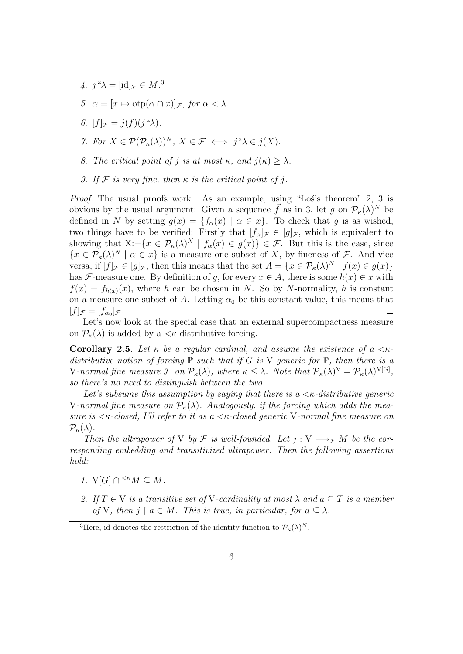- 4.  $j^{\mu}\lambda = [\text{id}]_{\mathcal{F}} \in M^{3}$
- 5.  $\alpha = [x \mapsto \mathrm{otp}(\alpha \cap x)]_{\mathcal{F}}$ , for  $\alpha < \lambda$ .
- 6.  $[f]_{\mathcal{F}} = j(f)(j''\lambda)$ .
- 7. For  $X \in \mathcal{P}(\mathcal{P}_{\kappa}(\lambda))^N$ ,  $X \in \mathcal{F} \iff j``\lambda \in j(X)$ .
- 8. The critical point of j is at most  $\kappa$ , and  $j(\kappa) > \lambda$ .
- 9. If F is very fine, then  $\kappa$  is the critical point of j.

*Proof.* The usual proofs work. As an example, using "Los's theorem" 2, 3 is obvious by the usual argument: Given a sequence  $\vec{f}$  as in 3, let g on  $\mathcal{P}_{\kappa}(\lambda)^N$  be defined in N by setting  $g(x) = \{f_\alpha(x) \mid \alpha \in x\}$ . To check that g is as wished, two things have to be verified: Firstly that  $[f_{\alpha}]_{\mathcal{F}} \in [g]_{\mathcal{F}}$ , which is equivalent to showing that  $X:=\{x \in \mathcal{P}_{\kappa}(\lambda)^N \mid f_{\alpha}(x) \in g(x)\}\in \mathcal{F}$ . But this is the case, since  $\{x \in \mathcal{P}_{\kappa}(\lambda)^N \mid \alpha \in x\}$  is a measure one subset of X, by fineness of F. And vice versa, if  $[f]_{\mathcal{F}} \in [g]_{\mathcal{F}}$ , then this means that the set  $A = \{x \in \mathcal{P}_{\kappa}(\lambda)^N \mid f(x) \in g(x)\}\$ has F-measure one. By definition of g, for every  $x \in A$ , there is some  $h(x) \in x$  with  $f(x) = f_{h(x)}(x)$ , where h can be chosen in N. So by N-normality, h is constant on a measure one subset of A. Letting  $\alpha_0$  be this constant value, this means that  $[f]_{\mathcal{F}}=[f_{\alpha_0}]_{\mathcal{F}}.$  $\Box$ 

Let's now look at the special case that an external supercompactness measure on  $\mathcal{P}_{\kappa}(\lambda)$  is added by a  $\lt\kappa$ -distributive forcing.

**Corollary 2.5.** Let  $\kappa$  be a regular cardinal, and assume the existence of a  $\kappa$ distributive notion of forcing  $\mathbb P$  such that if G is V-generic for  $\mathbb P$ , then there is a V-normal fine measure  $\mathcal F$  on  $\mathcal P_\kappa(\lambda)$ , where  $\kappa \leq \lambda$ . Note that  $\mathcal P_\kappa(\lambda)^V = \mathcal P_\kappa(\lambda)^{V[G]},$ so there's no need to distinguish between the two.

Let's subsume this assumption by saying that there is  $a < \kappa$ -distributive generic V-normal fine measure on  $\mathcal{P}_{\kappa}(\lambda)$ . Analogously, if the forcing which adds the measure is  $\lt$  *K*-closed, I'll refer to it as a  $\lt$  *K*-closed generic V-normal fine measure on  $\mathcal{P}_{\kappa}(\lambda)$ .

Then the ultrapower of V by  $\mathcal F$  is well-founded. Let  $j: V \longrightarrow_{\mathcal F} M$  be the corresponding embedding and transitivized ultrapower. Then the following assertions hold:

- 1.  $V[G] \cap {}^{<\kappa}M \subseteq M$ .
- 2. If  $T \in V$  is a transitive set of V-cardinality at most  $\lambda$  and  $a \subseteq T$  is a member of V, then  $j \restriction a \in M$ . This is true, in particular, for  $a \subseteq \lambda$ .

<sup>&</sup>lt;sup>3</sup>Here, id denotes the restriction of the identity function to  $\mathcal{P}_{\kappa}(\lambda)^N$ .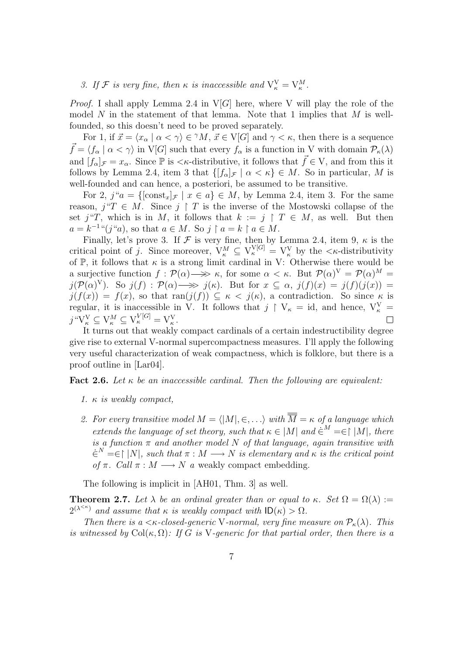### 3. If F is very fine, then  $\kappa$  is inaccessible and  $V_{\kappa}^{V} = V_{\kappa}^{M}$ .

*Proof.* I shall apply Lemma 2.4 in  $V[G]$  here, where V will play the role of the model  $N$  in the statement of that lemma. Note that 1 implies that  $M$  is wellfounded, so this doesn't need to be proved separately.

For 1, if  $\vec{x} = \langle x_\alpha | \alpha < \gamma \rangle \in {}^{\gamma}M$ ,  $\vec{x} \in V[G]$  and  $\gamma < \kappa$ , then there is a sequence  $\vec{f} = \langle f_{\alpha} | \alpha < \gamma \rangle$  in V[G] such that every  $f_{\alpha}$  is a function in V with domain  $\mathcal{P}_{\kappa}(\lambda)$ and  $[f_{\alpha}]_{\mathcal{F}} = x_{\alpha}$ . Since  $\mathbb{P}$  is  $\langle \kappa$ -distributive, it follows that  $\vec{f} \in V$ , and from this it follows by Lemma 2.4, item 3 that  $\{[f_\alpha]_{\mathcal{F}} \mid \alpha < \kappa\} \in M$ . So in particular, M is well-founded and can hence, a posteriori, be assumed to be transitive.

For 2,  $j^{\mu}a = \{[\text{const}_x]_{\mathcal{F}} \mid x \in a\} \in M$ , by Lemma 2.4, item 3. For the same reason,  $j''T \in M$ . Since  $j \restriction T$  is the inverse of the Mostowski collapse of the set j"T, which is in M, it follows that  $k := j \upharpoonright T \in M$ , as well. But then  $a = k^{-1}$ " $(j$ "a), so that  $a \in M$ . So  $j \restriction a = k \restriction a \in M$ .

Finally, let's prove 3. If  $\mathcal F$  is very fine, then by Lemma 2.4, item 9,  $\kappa$  is the critical point of j. Since moreover,  $V_{\kappa}^{M} \subseteq V_{\kappa}^{V[G]} = V_{\kappa}^{V}$  by the  $\langle \kappa$ -distributivity of  $\mathbb{P}$ , it follows that  $\kappa$  is a strong limit cardinal in V: Otherwise there would be a surjective function  $f: \mathcal{P}(\alpha) \longrightarrow \mathcal{P}(\alpha)$  for some  $\alpha < \kappa$ . But  $\mathcal{P}(\alpha)^V = \mathcal{P}(\alpha)^W =$  $j(\mathcal{P}(\alpha)^{\vee})$ . So  $j(f) : \mathcal{P}(\alpha) \longrightarrow j(\kappa)$ . But for  $x \subseteq \alpha$ ,  $j(f)(x) = j(f)(j(x)) = j(\kappa)$  $j(f(x)) = f(x)$ , so that  $ran(j(f)) \subseteq \kappa < j(\kappa)$ , a contradiction. So since  $\kappa$  is regular, it is inaccessible in V. It follows that  $j \restriction V_{\kappa} = id$ , and hence,  $V_{\kappa}^{V} =$  $j "V_{\kappa}^V \subseteq V_{\kappa}^M \subseteq V_{\kappa}^{V[G]} = V_{\kappa}^V.$  $\Box$ 

It turns out that weakly compact cardinals of a certain indestructibility degree give rise to external V-normal supercompactness measures. I'll apply the following very useful characterization of weak compactness, which is folklore, but there is a proof outline in [Lar04].

**Fact 2.6.** Let  $\kappa$  be an inaccessible cardinal. Then the following are equivalent:

- 1.  $\kappa$  is weakly compact,
- 2. For every transitive model  $M = \langle |M|, \in, \ldots \rangle$  with  $\overline{\overline{M}} = \kappa$  of a language which extends the language of set theory, such that  $\kappa \in |M|$  and  $\in^M = \in |M|$ , there is a function  $\pi$  and another model N of that language, again transitive with  $\in^N = \in \upharpoonright |N|$ , such that  $\pi : M \longrightarrow N$  is elementary and  $\kappa$  is the critical point of  $\pi$ . Call  $\pi : M \longrightarrow N$  a weakly compact embedding.

The following is implicit in [AH01, Thm. 3] as well.

**Theorem 2.7.** Let  $\lambda$  be an ordinal greater than or equal to  $\kappa$ . Set  $\Omega = \Omega(\lambda)$ :=  $2^{(\lambda^{<\kappa})}$  and assume that  $\kappa$  is weakly compact with  $\mathsf{ID}(\kappa) > \Omega$ .

Then there is a  $\lt$ κ-closed-generic V-normal, very fine measure on  $\mathcal{P}_{\kappa}(\lambda)$ . This is witnessed by  $Col(\kappa, \Omega)$ : If G is V-generic for that partial order, then there is a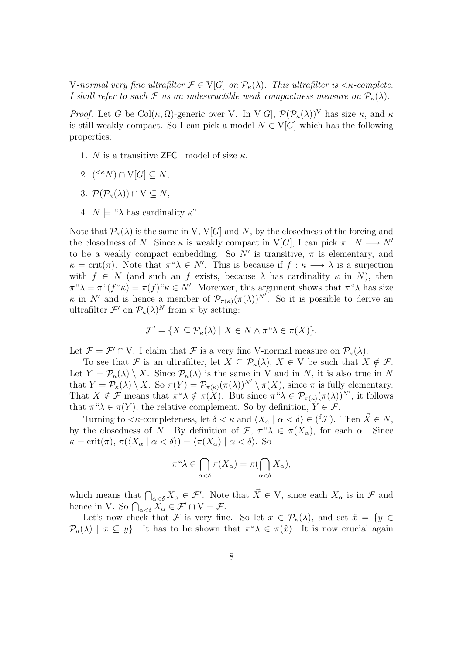V-normal very fine ultrafilter  $\mathcal{F} \in V[G]$  on  $\mathcal{P}_{\kappa}(\lambda)$ . This ultrafilter is  $\langle \kappa$ -complete. I shall refer to such F as an indestructible weak compactness measure on  $\mathcal{P}_{\kappa}(\lambda)$ .

*Proof.* Let G be Col $(\kappa, \Omega)$ -generic over V. In V[G],  $\mathcal{P}(\mathcal{P}_{\kappa}(\lambda))^V$  has size  $\kappa$ , and  $\kappa$ is still weakly compact. So I can pick a model  $N \in V[G]$  which has the following properties:

- 1. N is a transitive ZFC<sup>-</sup> model of size  $\kappa$ ,
- 2.  $({<^{\kappa}N}) \cap V[G] \subseteq N$ ,
- 3.  $\mathcal{P}(\mathcal{P}_{\kappa}(\lambda)) \cap V \subseteq N$ ,
- 4.  $N \models " \lambda \text{ has cardinality } \kappa".$

Note that  $\mathcal{P}_{\kappa}(\lambda)$  is the same in V, V[G] and N, by the closedness of the forcing and the closedness of N. Since  $\kappa$  is weakly compact in V[G], I can pick  $\pi : N \longrightarrow N'$ to be a weakly compact embedding. So  $N'$  is transitive,  $\pi$  is elementary, and  $\kappa = \text{crit}(\pi)$ . Note that  $\pi^{\omega} \lambda \in N'$ . This is because if  $f : \kappa \longrightarrow \lambda$  is a surjection with  $f \in N$  (and such an f exists, because  $\lambda$  has cardinality  $\kappa$  in N), then  $\pi^{\mu}\lambda = \pi^{\mu}(f^{\mu}\kappa) = \pi(f)^{\mu}\kappa \in N'.$  Moreover, this argument shows that  $\pi^{\mu}\lambda$  has size  $\kappa$  in N' and is hence a member of  $\mathcal{P}_{\pi(\kappa)}(\pi(\lambda))^{N'}$ . So it is possible to derive an ultrafilter  $\mathcal{F}'$  on  $\mathcal{P}_{\kappa}(\lambda)^N$  from  $\pi$  by setting:

$$
\mathcal{F}' = \{ X \subseteq \mathcal{P}_{\kappa}(\lambda) \mid X \in N \wedge \pi \text{``}\lambda \in \pi(X) \}.
$$

Let  $\mathcal{F} = \mathcal{F}' \cap V$ . I claim that  $\mathcal{F}$  is a very fine V-normal measure on  $\mathcal{P}_{\kappa}(\lambda)$ .

To see that F is an ultrafilter, let  $X \subseteq \mathcal{P}_{\kappa}(\lambda), X \in V$  be such that  $X \notin \mathcal{F}$ . Let  $Y = \mathcal{P}_{\kappa}(\lambda) \setminus X$ . Since  $\mathcal{P}_{\kappa}(\lambda)$  is the same in V and in N, it is also true in N that  $Y = \mathcal{P}_{\kappa}(\lambda) \setminus X$ . So  $\pi(Y) = \mathcal{P}_{\pi(\kappa)}(\pi(\lambda))^{N'} \setminus \pi(X)$ , since  $\pi$  is fully elementary. That  $X \notin \mathcal{F}$  means that  $\pi \to X \notin \pi(X)$ . But since  $\pi \to X \in \mathcal{P}_{\pi(\kappa)}(\pi(\lambda))^{N'}$ , it follows that  $\pi$  " $\lambda \in \pi(Y)$ , the relative complement. So by definition,  $Y \in \mathcal{F}$ .

Turning to  $\langle \kappa$ -completeness, let  $\delta \langle \kappa \rangle \langle \kappa \rangle \langle \alpha \rangle \langle \delta \rangle \langle \delta \rangle \langle \delta \langle \mathcal{F} \rangle$ . Then  $\vec{X} \in \mathbb{N}$ , by the closedness of N. By definition of  $\mathcal{F}, \pi^*\lambda \in \pi(X_\alpha)$ , for each  $\alpha$ . Since  $\kappa = \text{crit}(\pi), \pi(\langle X_\alpha \mid \alpha < \delta \rangle) = \langle \pi(X_\alpha) \mid \alpha < \delta \rangle$ . So

$$
\pi^{\omega}\lambda \in \bigcap_{\alpha < \delta} \pi(X_{\alpha}) = \pi(\bigcap_{\alpha < \delta} X_{\alpha}),
$$

which means that  $\bigcap_{\alpha<\delta} X_{\alpha} \in \mathcal{F}'$ . Note that  $\vec{X} \in V$ , since each  $X_{\alpha}$  is in  $\mathcal{F}$  and hence in V. So  $\bigcap_{\alpha<\delta} X_{\alpha} \in \mathcal{F}' \cap V = \mathcal{F}.$ 

Let's now check that F is very fine. So let  $x \in \mathcal{P}_{\kappa}(\lambda)$ , and set  $\hat{x} = \{y \in$  $\mathcal{P}_{\kappa}(\lambda) \mid x \subseteq y$ . It has to be shown that  $\pi^{\alpha} \lambda \in \pi(\hat{x})$ . It is now crucial again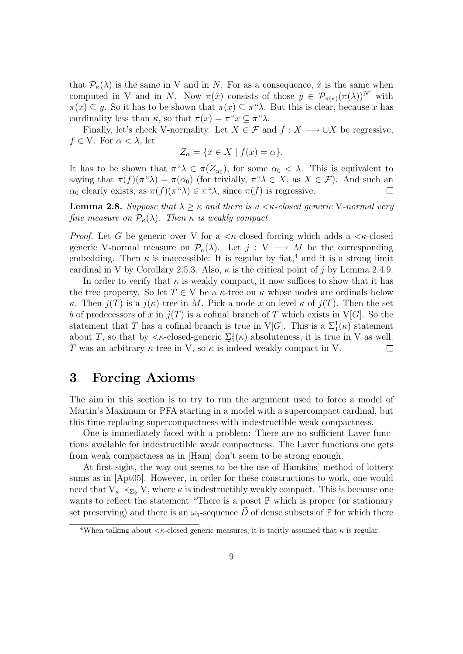that  $\mathcal{P}_{\kappa}(\lambda)$  is the same in V and in N. For as a consequence,  $\hat{x}$  is the same when computed in V and in N. Now  $\pi(\hat{x})$  consists of those  $y \in \mathcal{P}_{\pi(\kappa)}(\pi(\lambda))^{N'}$  with  $\pi(x) \subseteq y$ . So it has to be shown that  $\pi(x) \subseteq \pi^x \lambda$ . But this is clear, because x has cardinality less than  $\kappa$ , so that  $\pi(x) = \pi^x x \subseteq \pi^x \lambda$ .

Finally, let's check V-normality. Let  $X \in \mathcal{F}$  and  $f : X \longrightarrow \cup X$  be regressive,  $f \in V$ . For  $\alpha < \lambda$ , let

$$
Z_{\alpha} = \{ x \in X \mid f(x) = \alpha \}.
$$

It has to be shown that  $\pi^{\alpha} \lambda \in \pi(Z_{\alpha_0})$ , for some  $\alpha_0 < \lambda$ . This is equivalent to saying that  $\pi(f)(\pi \lq \lambda) = \pi(\alpha_0)$  (for trivially,  $\pi \lq \lambda \in X$ , as  $X \in \mathcal{F}$ ). And such an  $\alpha_0$  clearly exists, as  $\pi(f)(\pi \lq \lambda) \in \pi \lq \lambda$ , since  $\pi(f)$  is regressive.  $\Box$ 

**Lemma 2.8.** Suppose that  $\lambda > \kappa$  and there is a  $\lt$   $\kappa$ -closed generic V-normal very fine measure on  $P_{\kappa}(\lambda)$ . Then  $\kappa$  is weakly compact.

*Proof.* Let G be generic over V for a  $\lt$  *k*-closed forcing which adds a  $\lt$  *k*-closed generic V-normal measure on  $\mathcal{P}_{\kappa}(\lambda)$ . Let  $j: V \longrightarrow M$  be the corresponding embedding. Then  $\kappa$  is inaccessible: It is regular by fiat,<sup>4</sup> and it is a strong limit cardinal in V by Corollary 2.5.3. Also,  $\kappa$  is the critical point of j by Lemma 2.4.9.

In order to verify that  $\kappa$  is weakly compact, it now suffices to show that it has the tree property. So let  $T \in V$  be a  $\kappa$ -tree on  $\kappa$  whose nodes are ordinals below κ. Then  $j(T)$  is a  $j(\kappa)$ -tree in M. Pick a node x on level  $\kappa$  of  $j(T)$ . Then the set b of predecessors of x in  $j(T)$  is a cofinal branch of T which exists in V[G]. So the statement that T has a cofinal branch is true in V[G]. This is a  $\Sigma_1^1(\kappa)$  statement about T, so that by  $\langle \kappa$ -closed-generic  $\Sigma_1^1(\kappa)$  absoluteness, it is true in V as well. T was an arbitrary  $\kappa$ -tree in V, so  $\kappa$  is indeed weakly compact in V.  $\Box$ 

### 3 Forcing Axioms

The aim in this section is to try to run the argument used to force a model of Martin's Maximum or PFA starting in a model with a supercompact cardinal, but this time replacing supercompactness with indestructible weak compactness.

One is immediately faced with a problem: There are no sufficient Laver functions available for indestructible weak compactness. The Laver functions one gets from weak compactness as in [Ham] don't seem to be strong enough.

At first sight, the way out seems to be the use of Hamkins' method of lottery sums as in [Apt05]. However, in order for these constructions to work, one would need that  $V_{\kappa} \prec_{\Sigma_2} V$ , where  $\kappa$  is indestructibly weakly compact. This is because one wants to reflect the statement "There is a poset  $\mathbb P$  which is proper (or stationary set preserving) and there is an  $\omega_1$ -sequence D of dense subsets of P for which there

<sup>&</sup>lt;sup>4</sup>When talking about  $\lt\kappa$ -closed generic measures, it is tacitly assumed that  $\kappa$  is regular.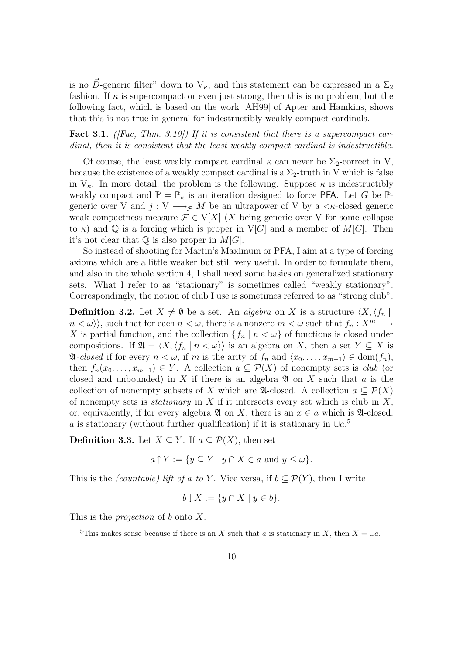is no D-generic filter" down to  $V_{\kappa}$ , and this statement can be expressed in a  $\Sigma_2$ fashion. If  $\kappa$  is supercompact or even just strong, then this is no problem, but the following fact, which is based on the work [AH99] of Apter and Hamkins, shows that this is not true in general for indestructibly weakly compact cardinals.

#### **Fact 3.1.** ([Fuc, Thm. 3.10]) If it is consistent that there is a supercompact cardinal, then it is consistent that the least weakly compact cardinal is indestructible.

Of course, the least weakly compact cardinal  $\kappa$  can never be  $\Sigma_2$ -correct in V, because the existence of a weakly compact cardinal is a  $\Sigma_2$ -truth in V which is false in  $V_{\kappa}$ . In more detail, the problem is the following. Suppose  $\kappa$  is indestructibly weakly compact and  $\mathbb{P} = \mathbb{P}_{\kappa}$  is an iteration designed to force **PFA**. Let G be  $\mathbb{P}$ generic over V and  $j: V \longrightarrow_{\mathcal{F}} M$  be an ultrapower of V by a  $\lt \kappa$ -closed generic weak compactness measure  $\mathcal{F} \in V[X]$  (X being generic over V for some collapse to  $\kappa$ ) and Q is a forcing which is proper in V[G] and a member of M[G]. Then it's not clear that  $\mathbb Q$  is also proper in  $M[G]$ .

So instead of shooting for Martin's Maximum or PFA, I aim at a type of forcing axioms which are a little weaker but still very useful. In order to formulate them, and also in the whole section 4, I shall need some basics on generalized stationary sets. What I refer to as "stationary" is sometimes called "weakly stationary". Correspondingly, the notion of club I use is sometimes referred to as "strong club".

**Definition 3.2.** Let  $X \neq \emptyset$  be a set. An *algebra* on X is a structure  $\langle X, \langle f_n |$  $n < \omega$ ), such that for each  $n < \omega$ , there is a nonzero  $m < \omega$  such that  $f_n : X^m \longrightarrow$ X is partial function, and the collection  $\{f_n \mid n < \omega\}$  of functions is closed under compositions. If  $\mathfrak{A} = \langle X, \langle f_n | n \langle \omega \rangle \rangle$  is an algebra on X, then a set  $Y \subseteq X$  is  $\mathfrak{A}-closed$  if for every  $n < \omega$ , if m is the arity of  $f_n$  and  $\langle x_0, \ldots, x_{m-1} \rangle \in \text{dom}(f_n)$ , then  $f_n(x_0, \ldots, x_{m-1}) \in Y$ . A collection  $a \subseteq \mathcal{P}(X)$  of nonempty sets is *club* (or closed and unbounded) in X if there is an algebra  $\mathfrak A$  on X such that a is the collection of nonempty subsets of X which are  $\mathfrak{A}$ -closed. A collection  $a \subseteq \mathcal{P}(X)$ of nonempty sets is *stationary* in  $X$  if it intersects every set which is club in  $X$ , or, equivalently, if for every algebra  $\mathfrak A$  on X, there is an  $x \in a$  which is  $\mathfrak A$ -closed. a is stationary (without further qualification) if it is stationary in  $\cup a$ .<sup>5</sup>

**Definition 3.3.** Let  $X \subseteq Y$ . If  $a \subseteq \mathcal{P}(X)$ , then set

$$
a \uparrow Y := \{ y \subseteq Y \mid y \cap X \in a \text{ and } \overline{y} \le \omega \}.
$$

This is the *(countable) lift of a to Y*. Vice versa, if  $b \subseteq \mathcal{P}(Y)$ , then I write

$$
b \downarrow X := \{ y \cap X \mid y \in b \}.
$$

This is the *projection* of b onto  $X$ .

<sup>&</sup>lt;sup>5</sup>This makes sense because if there is an X such that a is stationary in X, then  $X = \bigcup a$ .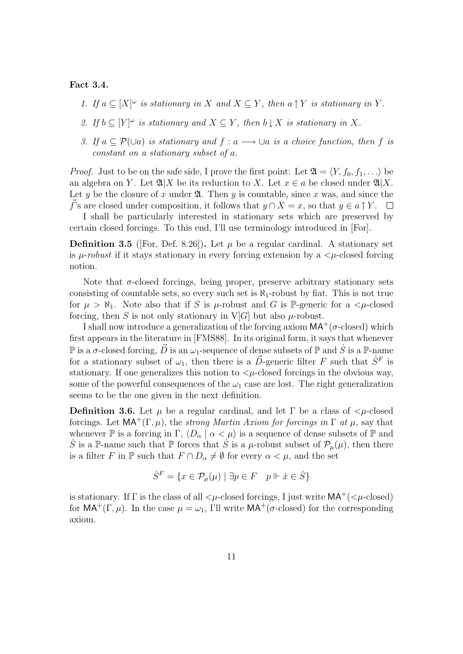#### Fact 3.4.

- 1. If  $a \subseteq [X]^\omega$  is stationary in X and  $X \subseteq Y$ , then  $a \uparrow Y$  is stationary in Y.
- 2. If  $b \subseteq [Y]^\omega$  is stationary and  $X \subseteq Y$ , then  $b \downarrow X$  is stationary in X.
- 3. If  $a \subset \mathcal{P}(\cup a)$  is stationary and  $f : a \longrightarrow \cup a$  is a choice function, then f is constant on a stationary subset of a.

*Proof.* Just to be on the safe side, I prove the first point: Let  $\mathfrak{A} = \langle Y, f_0, f_1, \ldots \rangle$  be an algebra on Y. Let  $\mathfrak{A}|X$  be its reduction to X. Let  $x \in a$  be closed under  $\mathfrak{A}|X$ . Let y be the closure of x under  $\mathfrak{A}$ . Then y is countable, since x was, and since the f's are closed under composition, it follows that  $y \cap X = x$ , so that  $y \in a \uparrow Y$ .  $\Box$ 

I shall be particularly interested in stationary sets which are preserved by certain closed forcings. To this end, I'll use terminology introduced in [For].

**Definition 3.5** ([For, Def. 8.26]). Let  $\mu$  be a regular cardinal. A stationary set is  $\mu$ -robust if it stays stationary in every forcing extension by a  $\lt \mu$ -closed forcing notion.

Note that  $\sigma$ -closed forcings, being proper, preserve arbitrary stationary sets consisting of countable sets, so every such set is  $\aleph_1$ -robust by fiat. This is not true for  $\mu > \aleph_1$ . Note also that if S is  $\mu$ -robust and G is P-generic for a  $\lt \mu$ -closed forcing, then S is not only stationary in V[G] but also  $\mu$ -robust.

I shall now introduce a generalization of the forcing axiom  $MA^+(\sigma\text{-closed})$  which first appears in the literature in [FMS88]. In its original form, it says that whenever  $\mathbb P$  is a  $\sigma$ -closed forcing,  $\vec D$  is an  $\omega_1$ -sequence of dense subsets of  $\mathbb P$  and  $\dot S$  is a  $\mathbb P$ -name for a stationary subset of  $\omega_1$ , then there is a  $\vec{D}$ -generic filter F such that  $\dot{S}^F$  is stationary. If one generalizes this notion to  $\lt\mu$ -closed forcings in the obvious way, some of the powerful consequences of the  $\omega_1$  case are lost. The right generalization seems to be the one given in the next definition.

**Definition 3.6.** Let  $\mu$  be a regular cardinal, and let  $\Gamma$  be a class of  $\lt \mu$ -closed forcings. Let  $MA^+(\Gamma,\mu)$ , the *strong Martin Axiom for forcings in*  $\Gamma$  *at*  $\mu$ , say that whenever  $\mathbb P$  is a forcing in  $\Gamma$ ,  $\langle D_\alpha | \alpha < \mu \rangle$  is a sequence of dense subsets of  $\mathbb P$  and S is a P-name such that P forces that S is a  $\mu$ -robust subset of  $\mathcal{P}_{\mu}(\mu)$ , then there is a filter F in  $\mathbb P$  such that  $F \cap D_\alpha \neq \emptyset$  for every  $\alpha < \mu$ , and the set

$$
\dot{S}^F = \{ x \in \mathcal{P}_\mu(\mu) \mid \exists p \in F \quad p \Vdash \check{x} \in \dot{S} \}
$$

is stationary. If  $\Gamma$  is the class of all  $\lt\mu$ -closed forcings, I just write  $MA^+$ ( $\lt\mu$ -closed) for  $MA^+(\Gamma,\mu)$ . In the case  $\mu = \omega_1$ , I'll write  $MA^+(\sigma\text{-closed})$  for the corresponding axiom.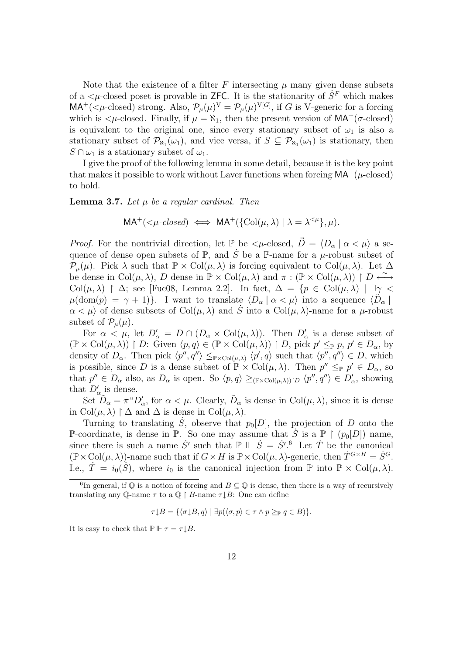Note that the existence of a filter F intersecting  $\mu$  many given dense subsets of a  $\lt \mu$ -closed poset is provable in ZFC. It is the stationarity of  $\dot{S}^F$  which makes  $MA^+$ ( $\lt \mu$ -closed) strong. Also,  $\mathcal{P}_{\mu}(\mu)^V = \mathcal{P}_{\mu}(\mu)^{V[G]}$ , if G is V-generic for a forcing which is  $\lt \mu$ -closed. Finally, if  $\mu = \aleph_1$ , then the present version of  $MA^+(\sigma$ -closed) is equivalent to the original one, since every stationary subset of  $\omega_1$  is also a stationary subset of  $\mathcal{P}_{\aleph_1}(\omega_1)$ , and vice versa, if  $S \subseteq \mathcal{P}_{\aleph_1}(\omega_1)$  is stationary, then  $S \cap \omega_1$  is a stationary subset of  $\omega_1$ .

I give the proof of the following lemma in some detail, because it is the key point that makes it possible to work without Laver functions when forcing  $MA^+(\mu\text{-closed})$ to hold.

**Lemma 3.7.** Let  $\mu$  be a regular cardinal. Then

$$
MA^+(<\mu\text{-}closed) \iff MA^+(\{\text{Col}(\mu,\lambda) \mid \lambda = \lambda^{<\mu}\},\mu).
$$

*Proof.* For the nontrivial direction, let P be  $\langle \mu$ -closed,  $\vec{D} = \langle D_{\alpha} | \alpha \langle \mu \rangle$  a sequence of dense open subsets of  $\mathbb{P}$ , and  $\dot{S}$  be a  $\mathbb{P}$ -name for a  $\mu$ -robust subset of  $\mathcal{P}_{\mu}(\mu)$ . Pick  $\lambda$  such that  $\mathbb{P} \times \text{Col}(\mu, \lambda)$  is forcing equivalent to  $\text{Col}(\mu, \lambda)$ . Let  $\Delta$ be dense in  $Col(\mu, \lambda)$ , D dense in  $\mathbb{P} \times \text{Col}(\mu, \lambda)$  and  $\pi : (\mathbb{P} \times \text{Col}(\mu, \lambda)) \upharpoonright D \stackrel{\sim}{\longleftrightarrow}$ Col( $\mu$ ,  $\lambda$ )  $\upharpoonright \Delta$ ; see [Fuc08, Lemma 2.2]. In fact,  $\Delta = \{p \in \text{Col}(\mu, \lambda) \mid \exists \gamma$  $\mu(\text{dom}(p) = \gamma + 1)$ . I want to translate  $\langle D_\alpha | \alpha < \mu \rangle$  into a sequence  $\langle \tilde{D}_\alpha |$  $\alpha < \mu$  of dense subsets of Col $(\mu, \lambda)$  and S into a Col $(\mu, \lambda)$ -name for a  $\mu$ -robust subset of  $\mathcal{P}_{\mu}(\mu)$ .

For  $\alpha < \mu$ , let  $D'_\alpha = D \cap (D_\alpha \times \text{Col}(\mu, \lambda))$ . Then  $D'_\alpha$  is a dense subset of  $(\mathbb{P} \times \mathrm{Col}(\mu, \lambda)) \upharpoonright D:$  Given  $\langle p, q \rangle \in (\mathbb{P} \times \mathrm{Col}(\mu, \lambda)) \upharpoonright D$ , pick  $p' \leq_{\mathbb{P}} p, p' \in D_{\alpha}$ , by density of  $D_{\alpha}$ . Then pick  $\langle p'', q'' \rangle \leq_{\mathbb{P} \times \text{Col}(\mu, \lambda)} \langle p', q \rangle$  such that  $\langle p'', q'' \rangle \in D$ , which is possible, since D is a dense subset of  $\mathbb{P} \times \text{Col}(\mu, \lambda)$ . Then  $p'' \leq_{\mathbb{P}} p' \in D_{\alpha}$ , so that  $p'' \in D_{\alpha}$  also, as  $D_{\alpha}$  is open. So  $\langle p, q \rangle \geq_{(\mathbb{P} \times \text{Col}(\mu, \lambda))\upharpoonright D} \langle p'', q'' \rangle \in D'_{\alpha}$ , showing that  $D'_{\alpha}$  is dense.

Set  $\tilde{D}_{\alpha} = \pi^{\alpha} D_{\alpha}^{\prime}$ , for  $\alpha < \mu$ . Clearly,  $\tilde{D}_{\alpha}$  is dense in Col $(\mu, \lambda)$ , since it is dense in Col $(\mu, \lambda) \upharpoonright \Delta$  and  $\Delta$  is dense in Col $(\mu, \lambda)$ .

Turning to translating  $\dot{S}$ , observe that  $p_0[D]$ , the projection of D onto the P-coordinate, is dense in  $\mathbb P$ . So one may assume that  $\dot{S}$  is a  $\mathbb P \restriction (p_0[D])$  name, since there is such a name  $\dot{S}'$  such that  $\mathbb{P} \Vdash \dot{S} = \dot{S}'$ . Let  $\dot{T}$  be the canonical  $(\mathbb{P}\times \text{Col}(\mu,\lambda))$ -name such that if  $G\times H$  is  $\mathbb{P}\times \text{Col}(\mu,\lambda)$ -generic, then  $\dot{T}^{G\times H} = \dot{S}^G$ . I.e.,  $\dot{T} = i_0(\dot{S})$ , where  $i_0$  is the canonical injection from  $\mathbb P$  into  $\mathbb P \times \text{Col}(\mu, \lambda)$ .

$$
\tau \downarrow B = \{ \langle \sigma \downarrow B, q \rangle \mid \exists p (\langle \sigma, p \rangle \in \tau \land p \geq_{\mathbb{P}} q \in B) \}.
$$

It is easy to check that  $\mathbb{P} \Vdash \tau = \tau \downarrow B$ .

<sup>&</sup>lt;sup>6</sup>In general, if  $\mathbb Q$  is a notion of forcing and  $B \subseteq \mathbb Q$  is dense, then there is a way of recursively translating any Q-name  $\tau$  to a  $\mathbb{Q} \restriction B$ -name  $\tau \downarrow B$ : One can define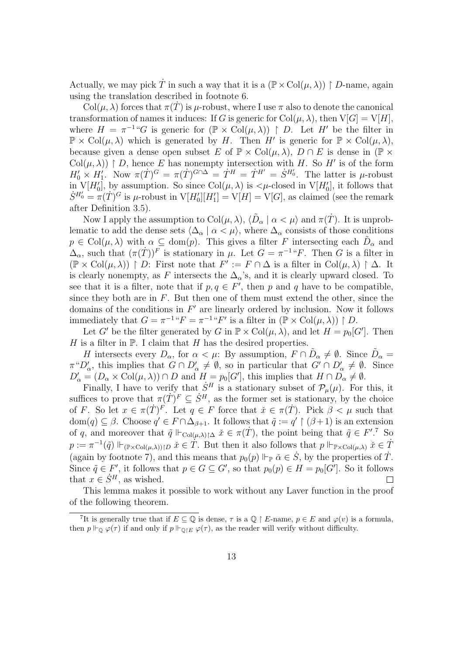Actually, we may pick  $\dot{T}$  in such a way that it is a  $(\mathbb{P} \times \text{Col}(\mu, \lambda))$   $\upharpoonright D$ -name, again using the translation described in footnote 6.

 $Col(\mu, \lambda)$  forces that  $\pi(T)$  is  $\mu$ -robust, where I use  $\pi$  also to denote the canonical transformation of names it induces: If G is generic for  $Col(\mu, \lambda)$ , then  $V[G] = V[H]$ , where  $H = \pi^{-1}$  "G is generic for  $(\mathbb{P} \times \text{Col}(\mu, \lambda))$  | D. Let H' be the filter in  $\mathbb{P} \times \text{Col}(\mu, \lambda)$  which is generated by H. Then H' is generic for  $\mathbb{P} \times \text{Col}(\mu, \lambda)$ , because given a dense open subset E of  $\mathbb{P} \times \text{Col}(\mu, \lambda)$ ,  $D \cap E$  is dense in  $(\mathbb{P} \times$ Col $(\mu, \lambda)$  | D, hence E has nonempty intersection with H. So H' is of the form  $H'_0 \times H'_1$ . Now  $\pi(\dot{T})^G = \pi(\dot{T})^{G \cap \Delta} = \dot{T}^H = \dot{T}^{H'} = \dot{S}^{H'_0}$ . The latter is  $\mu$ -robust in  $V[H_0']$ , by assumption. So since  $Col(\mu, \lambda)$  is  $\lt \mu$ -closed in  $V[H_0']$ , it follows that  $\dot{S}^{H_0'} = \pi(\dot{T})^G$  is  $\mu$ -robust in  $V[H_0'][H_1'] = V[H] = V[G]$ , as claimed (see the remark after Definition 3.5).

Now I apply the assumption to  $Col(\mu, \lambda)$ ,  $\langle \tilde{D}_{\alpha} | \alpha \langle \mu \rangle$  and  $\pi(\dot{T})$ . It is unproblematic to add the dense sets  $\langle \Delta_\alpha | \alpha \langle \mu \rangle$ , where  $\Delta_\alpha$  consists of those conditions  $p \in \text{Col}(\mu, \lambda)$  with  $\alpha \subseteq \text{dom}(p)$ . This gives a filter F intersecting each  $\tilde{D}_{\alpha}$  and  $\Delta_{\alpha}$ , such that  $(\pi(\dot{T}))^F$  is stationary in  $\mu$ . Let  $G = \pi^{-1}$  <sup>u</sup> $F$ . Then G is a filter in  $(\mathbb{P} \times \mathrm{Col}(\mu, \lambda)) \restriction D$ : First note that  $F' := F \cap \Delta$  is a filter in  $\mathrm{Col}(\mu, \lambda) \restriction \Delta$ . It is clearly nonempty, as F intersects the  $\Delta_{\alpha}$ 's, and it is clearly upward closed. To see that it is a filter, note that if  $p, q \in F'$ , then p and q have to be compatible, since they both are in  $F$ . But then one of them must extend the other, since the domains of the conditions in  $F'$  are linearly ordered by inclusion. Now it follows immediately that  $G = \pi^{-1}$  " $F = \pi^{-1}$ " $F'$  is a filter in  $(\mathbb{P} \times \text{Col}(\mu, \lambda)) \upharpoonright D$ .

Let G' be the filter generated by G in  $\mathbb{P} \times \text{Col}(\mu, \lambda)$ , and let  $H = p_0[G']$ . Then  $H$  is a filter in  $\mathbb P$ . I claim that  $H$  has the desired properties.

H intersects every  $D_{\alpha}$ , for  $\alpha < \mu$ : By assumption,  $F \cap \tilde{D}_{\alpha} \neq \emptyset$ . Since  $\tilde{D}_{\alpha} =$  $\pi^{\mu}D'_{\alpha}$ , this implies that  $G \cap D'_{\alpha} \neq \emptyset$ , so in particular that  $G' \cap D'_{\alpha} \neq \emptyset$ . Since  $D'_\alpha = (D_\alpha \times \text{Col}(\mu, \lambda)) \cap D$  and  $H = p_0[G']$ , this implies that  $H \cap D_\alpha \neq \emptyset$ .

Finally, I have to verify that  $\dot{S}^H$  is a stationary subset of  $\mathcal{P}_\mu(\mu)$ . For this, it suffices to prove that  $\pi(T)^F \subseteq S^H$ , as the former set is stationary, by the choice of F. So let  $x \in \pi(T)^F$ . Let  $q \in F$  force that  $\check{x} \in \pi(T)$ . Pick  $\check{\beta} < \mu$  such that dom $(q) \subseteq \beta$ . Choose  $q' \in F \cap \Delta_{\beta+1}$ . It follows that  $\tilde{q} := q' \upharpoonright (\beta+1)$  is an extension of q, and moreover that  $\tilde{q} \Vdash_{\text{Col}(\mu,\lambda)\upharpoonright\Delta} \tilde{x} \in \pi(\dot{T})$ , the point being that  $\tilde{q} \in F'.^7$  So  $p := \pi^{-1}(\tilde{q}) \Vdash_{(\mathbb{P} \times \text{Col}(\mu,\lambda))\upharpoonright D} \check{x} \in \check{T}$ . But then it also follows that  $p \Vdash_{\mathbb{P} \times \text{Col}(\mu,\lambda)} \check{x} \in \check{T}$ (again by footnote 7), and this means that  $p_0(p) \Vdash_{\mathbb{P}} \check{\alpha} \in \dot{S}$ , by the properties of  $\dot{T}$ . Since  $\tilde{q} \in F'$ , it follows that  $p \in G \subseteq G'$ , so that  $p_0(p) \in H = p_0[G']$ . So it follows that  $x \in \dot{S}^H$ , as wished.  $\Box$ 

This lemma makes it possible to work without any Laver function in the proof of the following theorem.

<sup>&</sup>lt;sup>7</sup>It is generally true that if  $E \subseteq \mathbb{Q}$  is dense,  $\tau$  is a  $\mathbb{Q} \restriction E$ -name,  $p \in E$  and  $\varphi(v)$  is a formula, then  $p \Vdash_{\mathbb{Q}} \varphi(\tau)$  if and only if  $p \Vdash_{\mathbb{Q}\upharpoonright E} \varphi(\tau)$ , as the reader will verify without difficulty.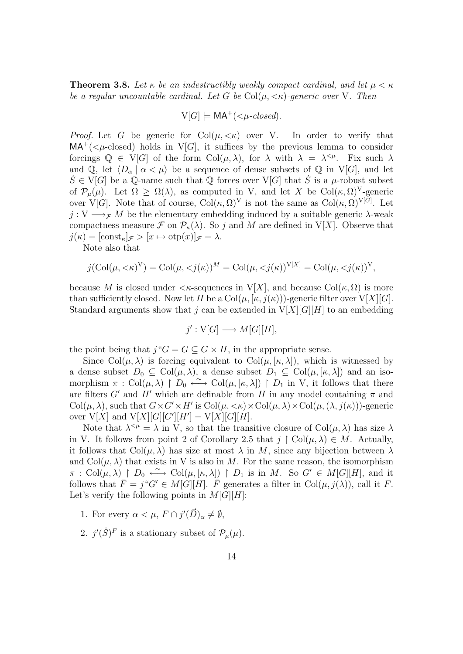**Theorem 3.8.** Let  $\kappa$  be an indestructibly weakly compact cardinal, and let  $\mu < \kappa$ be a regular uncountable cardinal. Let G be  $Col(\mu, \langle \kappa \rangle)$ -generic over V. Then

$$
V[G] \models MA^+(<\mu\text{-closed}).
$$

*Proof.* Let G be generic for  $Col(\mu, \langle \kappa \rangle)$  over V. In order to verify that  $MA^+$ ( $\lt \mu$ -closed) holds in V[G], it suffices by the previous lemma to consider forcings  $\mathbb{Q} \in V[G]$  of the form  $Col(\mu, \lambda)$ , for  $\lambda$  with  $\lambda = \lambda^{<\mu}$ . Fix such  $\lambda$ and Q, let  $\langle D_{\alpha} | \alpha \langle \mu \rangle$  be a sequence of dense subsets of Q in V[G], and let  $S \in V[G]$  be a Q-name such that Q forces over  $V[G]$  that S is a  $\mu$ -robust subset of  $\mathcal{P}_{\mu}(\mu)$ . Let  $\Omega \geq \Omega(\lambda)$ , as computed in V, and let X be Col $(\kappa, \Omega)^{\vee}$ -generic over V[G]. Note that of course,  $Col(\kappa, \Omega)^V$  is not the same as  $Col(\kappa, \Omega)^{V[G]}$ . Let  $j: V \longrightarrow_{\mathcal{F}} M$  be the elementary embedding induced by a suitable generic  $\lambda$ -weak compactness measure  $\mathcal F$  on  $\mathcal P_{\kappa}(\lambda)$ . So j and M are defined in V[X]. Observe that  $j(\kappa) = [\text{const}_{\kappa}]_{\mathcal{F}} > [x \mapsto \text{otp}(x)]_{\mathcal{F}} = \lambda.$ 

Note also that

$$
j(\mathrm{Col}(\mu,<\kappa)^{\mathrm{V}})=\mathrm{Col}(\mu,
$$

because M is closed under  $\langle \kappa$ -sequences in  $V[X]$ , and because  $\text{Col}(\kappa, \Omega)$  is more than sufficiently closed. Now let H be a  $Col(\mu, [\kappa, j(\kappa)))$ -generic filter over  $V[X][G]$ . Standard arguments show that j can be extended in  $V[X][G][H]$  to an embedding

$$
j': V[G] \longrightarrow M[G][H],
$$

the point being that  $j''G = G \subseteq G \times H$ , in the appropriate sense.

Since  $Col(\mu, \lambda)$  is forcing equivalent to  $Col(\mu, [\kappa, \lambda])$ , which is witnessed by a dense subset  $D_0 \subseteq \text{Col}(\mu, \lambda)$ , a dense subset  $D_1 \subseteq \text{Col}(\mu, [\kappa, \lambda])$  and an isomorphism  $\pi : \text{Col}(\mu, \lambda) \upharpoonright D_0 \stackrel{\sim}{\longleftrightarrow} \text{Col}(\mu, [\kappa, \lambda]) \upharpoonright D_1$  in V, it follows that there are filters G' and H' which are definable from H in any model containing  $\pi$  and  $Col(\mu, \lambda)$ , such that  $G \times G' \times H'$  is  $Col(\mu, \langle \kappa \rangle \times Col(\mu, \lambda) \times Col(\mu, (\lambda, j(\kappa)))$ -generic over  $V[X]$  and  $V[X][G][G'][H'] = V[X][G][H]$ .

Note that  $\lambda^{<\mu} = \lambda$  in V, so that the transitive closure of  $Col(\mu, \lambda)$  has size  $\lambda$ in V. It follows from point 2 of Corollary 2.5 that  $j \restriction \text{Col}(\mu, \lambda) \in M$ . Actually, it follows that  $Col(\mu, \lambda)$  has size at most  $\lambda$  in M, since any bijection between  $\lambda$ and  $Col(\mu, \lambda)$  that exists in V is also in M. For the same reason, the isomorphism  $\pi$  : Col $(\mu, \lambda)$  |  $D_0 \stackrel{\sim}{\longleftrightarrow}$  Col $(\mu, [\kappa, \lambda])$  |  $D_1$  is in M. So  $G' \in M[G][H]$ , and it follows that  $\bar{F} = j^{\mu}G \in M[G][H]$ .  $\bar{F}$  generates a filter in Col $(\mu, j(\lambda))$ , call it F. Let's verify the following points in  $M[G][H]$ :

- 1. For every  $\alpha < \mu$ ,  $F \cap j'(\vec{D})_{\alpha} \neq \emptyset$ ,
- 2.  $j'(\dot{S})^F$  is a stationary subset of  $\mathcal{P}_{\mu}(\mu)$ .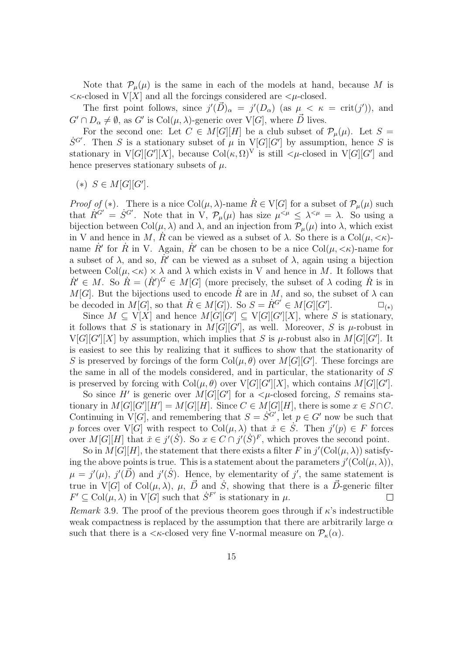Note that  $\mathcal{P}_{\mu}(\mu)$  is the same in each of the models at hand, because M is  $\lt$   $\lt$   $\lt$ -closed in V[X] and all the forcings considered are  $\lt$  $\mu$ -closed.

The first point follows, since  $j'(\vec{D})_{\alpha} = j'(D_{\alpha})$  (as  $\mu < \kappa = \text{crit}(j')$ ), and  $G' \cap D_{\alpha} \neq \emptyset$ , as  $G'$  is  $Col(\mu, \lambda)$ -generic over  $V[G]$ , where  $\vec{D}$  lives.

For the second one: Let  $C \in M[G][H]$  be a club subset of  $\mathcal{P}_{\mu}(\mu)$ . Let  $S =$  $\dot{S}^{G'}$ . Then S is a stationary subset of  $\mu$  in V[G][G'] by assumption, hence S is stationary in  $V[G][G'][X]$ , because  $Col(\kappa, \Omega)^V$  is still  $\lt \mu$ -closed in  $V[G][G']$  and hence preserves stationary subsets of  $\mu$ .

(\*)  $S \in M[G][G']$ .

*Proof of* (\*). There is a nice  $Col(\mu, \lambda)$ -name  $\dot{R} \in V[G]$  for a subset of  $\mathcal{P}_{\mu}(\mu)$  such that  $R^{G'} = S^{G'}$ . Note that in V,  $\mathcal{P}_{\mu}(\mu)$  has size  $\mu^{<\mu} \leq \lambda^{<\mu} = \lambda$ . So using a bijection between Col $(\mu, \lambda)$  and  $\lambda$ , and an injection from  $\mathcal{P}_{\mu}(\mu)$  into  $\lambda$ , which exist in V and hence in M, R can be viewed as a subset of  $\lambda$ . So there is a Col $(\mu, \langle \kappa \rangle)$ name  $\dot{R}'$  for  $\dot{R}$  in V. Again,  $\dot{R}'$  can be chosen to be a nice  $Col(\mu, \langle \kappa \rangle)$ -name for a subset of  $\lambda$ , and so,  $\dot{R}'$  can be viewed as a subset of  $\lambda$ , again using a bijection between  $Col(\mu, \langle \kappa \rangle) \times \lambda$  and  $\lambda$  which exists in V and hence in M. It follows that  $R' \in M$ . So  $R = (R')^G \in M[G]$  (more precisely, the subset of  $\lambda$  coding  $R$  is in M[G]. But the bijections used to encode  $\dot{R}$  are in M, and so, the subset of  $\lambda$  can be decoded in  $M[G]$ , so that  $R \in M[G])$ . So  $S = R^{G'} \in M[G][G']$  $\square_{(*)}$ 

Since  $M \subseteq V[X]$  and hence  $M[G][G'] \subseteq V[G][G'][X]$ , where S is stationary, it follows that S is stationary in  $M[G][G']$ , as well. Moreover, S is  $\mu$ -robust in  $V[G][G'][X]$  by assumption, which implies that S is  $\mu$ -robust also in  $M[G][G']$ . It is easiest to see this by realizing that it suffices to show that the stationarity of S is preserved by forcings of the form  $Col(\mu, \theta)$  over  $M[G][G']$ . These forcings are the same in all of the models considered, and in particular, the stationarity of S is preserved by forcing with  $Col(\mu, \theta)$  over  $V[G][G'][X]$ , which contains  $M[G][G']$ .

So since H' is generic over  $M[G][G']$  for a  $\lt \mu$ -closed forcing, S remains stationary in  $M[G][G'][H'] = M[G][H]$ . Since  $C \in M[G][H]$ , there is some  $x \in S \cap C$ . Continuing in  $V[G]$ , and remembering that  $S = \dot{S}^{G'}$ , let  $p \in G'$  now be such that p forces over  $V[G]$  with respect to  $Col(\mu, \lambda)$  that  $\check{x} \in \dot{S}$ . Then  $j'(p) \in F$  forces over  $M[G][H]$  that  $\check{x} \in j'(\check{S})$ . So  $x \in C \cap j'(\check{S})^F$ , which proves the second point.

So in  $M[G][H]$ , the statement that there exists a filter F in  $j'(\text{Col}(\mu, \lambda))$  satisfying the above points is true. This is a statement about the parameters  $j'(\text{Col}(\mu, \lambda)),$  $\mu = j'(\mu)$ ,  $j'(\vec{D})$  and  $j'(\dot{S})$ . Hence, by elementarity of j', the same statement is true in V[G] of Col $(\mu, \lambda)$ ,  $\mu$ ,  $\vec{D}$  and  $\dot{S}$ , showing that there is a  $\vec{D}$ -generic filter  $F' \subseteq \mathrm{Col}(\mu, \lambda)$  in  $\mathrm{V}[G]$  such that  $\dot{S}^{F'}$  is stationary in  $\mu$ .  $\Box$ 

Remark 3.9. The proof of the previous theorem goes through if  $\kappa$ 's indestructible weak compactness is replaced by the assumption that there are arbitrarily large  $\alpha$ such that there is a  $\langle \kappa \text{-closed very fine V-normal measure on } \mathcal{P}_{\kappa}(\alpha)$ .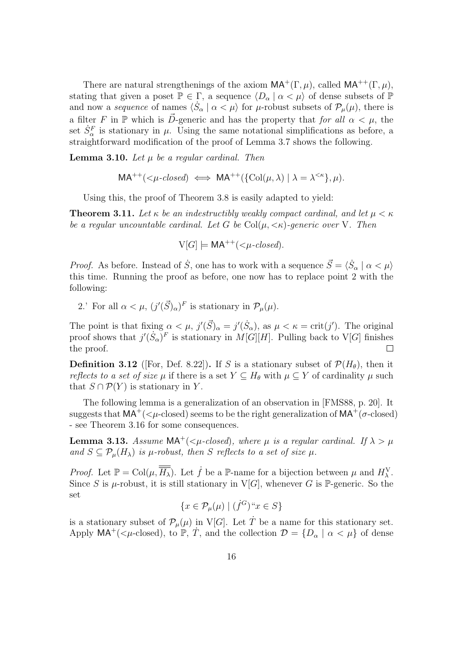There are natural strengthenings of the axiom  $MA^+(\Gamma,\mu)$ , called  $MA^{++}(\Gamma,\mu)$ , stating that given a poset  $\mathbb{P} \in \Gamma$ , a sequence  $\langle D_\alpha | \alpha \langle \mu \rangle$  of dense subsets of  $\mathbb{P}$ and now a *sequence* of names  $\langle S_\alpha | \alpha < \mu \rangle$  for  $\mu$ -robust subsets of  $\mathcal{P}_\mu(\mu)$ , there is a filter F in P which is  $\vec{D}$ -generic and has the property that for all  $\alpha < \mu$ , the set  $\dot{S}_{\alpha}^F$  is stationary in  $\mu$ . Using the same notational simplifications as before, a straightforward modification of the proof of Lemma 3.7 shows the following.

**Lemma 3.10.** Let  $\mu$  be a regular cardinal. Then

$$
MA^{++}(<\mu\text{-closed}) \iff MA^{++}(\{\text{Col}(\mu,\lambda) \mid \lambda = \lambda^{<\kappa}\},\mu).
$$

Using this, the proof of Theorem 3.8 is easily adapted to yield:

**Theorem 3.11.** Let  $\kappa$  be an indestructibly weakly compact cardinal, and let  $\mu < \kappa$ be a regular uncountable cardinal. Let G be  $Col(\mu, \langle \kappa \rangle)$ -generic over V. Then

 $V[G] \models MA^{++}(\leq \mu\textrm{-closed}).$ 

*Proof.* As before. Instead of  $\dot{S}$ , one has to work with a sequence  $\vec{S} = \langle \dot{S}_\alpha | \alpha \langle \mu \rangle$ this time. Running the proof as before, one now has to replace point 2 with the following:

2.' For all  $\alpha < \mu$ ,  $(j'(\vec{S})_{\alpha})^F$  is stationary in  $\mathcal{P}_{\mu}(\mu)$ .

The point is that fixing  $\alpha < \mu$ ,  $j'(\vec{S})_{\alpha} = j'(\dot{S}_{\alpha})$ , as  $\mu < \kappa = \text{crit}(j')$ . The original proof shows that  $j'(\dot{S}_{\alpha})^F$  is stationary in  $M[G][H]$ . Pulling back to V[G] finishes the proof.  $\Box$ 

**Definition 3.12** ([For, Def. 8.22]). If S is a stationary subset of  $\mathcal{P}(H_{\theta})$ , then it reflects to a set of size  $\mu$  if there is a set  $Y \subseteq H_{\theta}$  with  $\mu \subseteq Y$  of cardinality  $\mu$  such that  $S \cap \mathcal{P}(Y)$  is stationary in Y.

The following lemma is a generalization of an observation in [FMS88, p. 20]. It suggests that  $MA^+$ ( $\lt\mu$ -closed) seems to be the right generalization of  $MA^+$ ( $\sigma$ -closed) - see Theorem 3.16 for some consequences.

**Lemma 3.13.** Assume  $MA^+$ ( $\lt \mu$ -closed), where  $\mu$  is a regular cardinal. If  $\lambda > \mu$ and  $S \subseteq \mathcal{P}_{\mu}(H_{\lambda})$  is  $\mu$ -robust, then S reflects to a set of size  $\mu$ .

*Proof.* Let  $\mathbb{P} = \text{Col}(\mu, \overline{H_{\lambda}})$ . Let  $\dot{f}$  be a  $\mathbb{P}\text{-name}$  for a bijection between  $\mu$  and  $H_{\lambda}^{\text{V}}$ . Since S is  $\mu$ -robust, it is still stationary in V[G], whenever G is P-generic. So the set

$$
\{x\in\mathcal{P}_\mu(\mu)\mid (\dot{f}^G)\text{``}x\in S\}
$$

is a stationary subset of  $\mathcal{P}_{\mu}(\mu)$  in V[G]. Let  $\dot{T}$  be a name for this stationary set. Apply  $MA^+$ ( $\lt \mu$ -closed), to P, T, and the collection  $\mathcal{D} = \{D_\alpha \mid \alpha \lt \mu\}$  of dense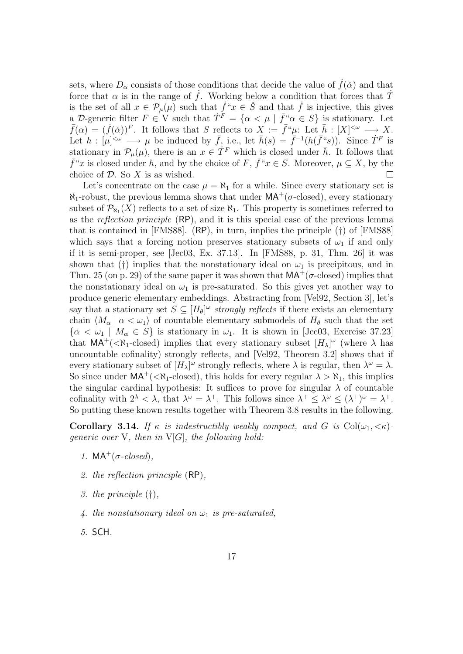sets, where  $D_{\alpha}$  consists of those conditions that decide the value of  $\dot{f}(\check{\alpha})$  and that force that  $\alpha$  is in the range of f. Working below a condition that forces that T is the set of all  $x \in \mathcal{P}_{\mu}(\mu)$  such that  $\dot{f}^*x \in \check{S}$  and that  $\dot{f}$  is injective, this gives a D-generic filter  $F \in V$  such that  $\dot{T}^F = \{ \alpha < \mu \mid \bar{f}^{\alpha} \alpha \in S \}$  is stationary. Let  $\bar{f}(\alpha) = (\dot{f}(\alpha))^F$ . It follows that S reflects to  $X := \bar{f}^{\mu} \mu$ : Let  $\bar{h} : [X]^{<\omega} \longrightarrow X$ . Let  $h: [\mu]^{<\omega} \longrightarrow \mu$  be induced by  $\bar{f}$ , i.e., let  $\bar{h}(s) = \bar{f}^{-1}(h(\bar{f}^s s))$ . Since  $\dot{T}^F$  is stationary in  $\mathcal{P}_{\mu}(\mu)$ , there is an  $x \in T^F$  which is closed under  $\bar{h}$ . It follows that  $\bar{f}''x$  is closed under h, and by the choice of F,  $\bar{f}''x \in S$ . Moreover,  $\mu \subseteq X$ , by the choice of  $D$ . So  $X$  is as wished.  $\Box$ 

Let's concentrate on the case  $\mu = \aleph_1$  for a while. Since every stationary set is  $\aleph_1$ -robust, the previous lemma shows that under  $MA^+(\sigma\text{-closed})$ , every stationary subset of  $\mathcal{P}_{\aleph_1}(X)$  reflects to a set of size  $\aleph_1$ . This property is sometimes referred to as the reflection principle (RP), and it is this special case of the previous lemma that is contained in [FMS88]. (RP), in turn, implies the principle (†) of [FMS88] which says that a forcing notion preserves stationary subsets of  $\omega_1$  if and only if it is semi-proper, see [Jec03, Ex. 37.13]. In [FMS88, p. 31, Thm. 26] it was shown that (†) implies that the nonstationary ideal on  $\omega_1$  is precipitous, and in Thm. 25 (on p. 29) of the same paper it was shown that  $MA^+(\sigma\text{-closed})$  implies that the nonstationary ideal on  $\omega_1$  is pre-saturated. So this gives yet another way to produce generic elementary embeddings. Abstracting from [Vel92, Section 3], let's say that a stationary set  $S \subseteq [H_{\theta}]^{\omega}$  strongly reflects if there exists an elementary chain  $\langle M_{\alpha} | \alpha < \omega_1 \rangle$  of countable elementary submodels of  $H_{\theta}$  such that the set  $\{\alpha < \omega_1 \mid M_\alpha \in S\}$  is stationary in  $\omega_1$ . It is shown in [Jec03, Exercise 37.23] that  $MA^+$ (< $\aleph_1$ -closed) implies that every stationary subset  $[H_\lambda]^\omega$  (where  $\lambda$  has uncountable cofinality) strongly reflects, and [Vel92, Theorem 3.2] shows that if every stationary subset of  $[H_\lambda]^\omega$  strongly reflects, where  $\lambda$  is regular, then  $\lambda^\omega = \lambda$ . So since under  $MA^+$ (< $\aleph_1$ -closed), this holds for every regular  $\lambda > \aleph_1$ , this implies the singular cardinal hypothesis: It suffices to prove for singular  $\lambda$  of countable cofinality with  $2^{\lambda} < \lambda$ , that  $\lambda^{\omega} = \lambda^{+}$ . This follows since  $\lambda^{+} \leq \lambda^{\omega} \leq (\lambda^{+})^{\omega} = \lambda^{+}$ . So putting these known results together with Theorem 3.8 results in the following.

**Corollary 3.14.** If  $\kappa$  is indestructibly weakly compact, and G is  $Col(\omega_1, \langle \kappa \rangle)$ generic over V, then in  $V[G]$ , the following hold:

- 1.  $MA^+(\sigma$ -closed),
- 2. the reflection principle (RP),
- 3. the principle (†),
- 4. the nonstationary ideal on  $\omega_1$  is pre-saturated,
- 5. SCH.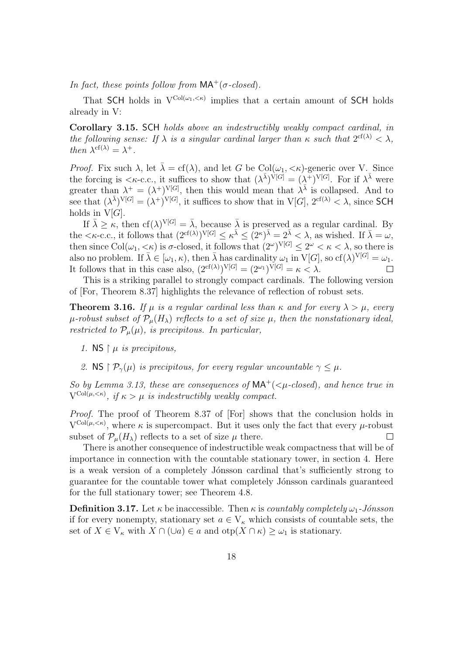In fact, these points follow from  $MA^+(\sigma$ -closed).

That SCH holds in  $V^{Col(\omega_1,\langle\kappa\rangle)}$  implies that a certain amount of SCH holds already in V:

Corollary 3.15. SCH holds above an indestructibly weakly compact cardinal, in the following sense: If  $\lambda$  is a singular cardinal larger than  $\kappa$  such that  $2^{cf(\lambda)} < \lambda$ , then  $\lambda^{\text{cf}(\lambda)} = \lambda^+$ .

*Proof.* Fix such  $\lambda$ , let  $\bar{\lambda} = cf(\lambda)$ , and let G be Col $(\omega_1, \langle \kappa \rangle)$ -generic over V. Since the forcing is  $\langle \kappa$ -c.c., it suffices to show that  $(\lambda^{\bar{\lambda}})^{\dot{V}[G]} = (\lambda^{\bar{\lambda}})^{V[G]}$ . For if  $\lambda^{\bar{\lambda}}$  were greater than  $\lambda^+ = (\lambda^+)^{V[G]}$ , then this would mean that  $\lambda^{\overline{\lambda}}$  is collapsed. And to see that  $(\lambda^{\bar{\lambda}})^{V[G]} = (\lambda^+)^{V[G]}$ , it suffices to show that in  $V[G], 2^{cf(\lambda)} < \lambda$ , since SCH holds in  $V[G]$ .

If  $\bar{\lambda} \geq \kappa$ , then cf( $\lambda$ )<sup>V[G]</sup> =  $\bar{\lambda}$ , because  $\bar{\lambda}$  is preserved as a regular cardinal. By the  $\langle \kappa$ -c.c., it follows that  $(2^{cf(\lambda)})^{V[G]} \leq \kappa^{\bar{\lambda}} \leq (2^{\kappa})^{\bar{\lambda}} = 2^{\bar{\lambda}} \langle \lambda, \mathrm{as} \rangle$  wished. If  $\bar{\lambda} = \omega$ , then since  $Col(\omega_1, <\kappa)$  is  $\sigma$ -closed, it follows that  $(2^{\omega})^{V[G]} \leq 2^{\omega} < \kappa < \lambda$ , so there is also no problem. If  $\bar{\lambda} \in [\omega_1, \kappa)$ , then  $\bar{\lambda}$  has cardinality  $\omega_1$  in  $V[G]$ , so  $cf(\lambda)^{V[G]} = \omega_1$ . It follows that in this case also,  $(2^{cf(\lambda)})^{V[G]} = (2^{\omega_1})^{V[G]} = \kappa < \lambda$ .  $\Box$ 

This is a striking parallel to strongly compact cardinals. The following version of [For, Theorem 8.37] highlights the relevance of reflection of robust sets.

**Theorem 3.16.** If  $\mu$  is a regular cardinal less than  $\kappa$  and for every  $\lambda > \mu$ , every  $\mu$ -robust subset of  $\mathcal{P}_{\mu}(H_{\lambda})$  reflects to a set of size  $\mu$ , then the nonstationary ideal, restricted to  $\mathcal{P}_{\mu}(\mu)$ , is precipitous. In particular,

- 1. NS  $\upharpoonright$   $\mu$  is precipitous,
- 2. NS  $\upharpoonright \mathcal{P}_{\gamma}(\mu)$  is precipitous, for every regular uncountable  $\gamma \leq \mu$ .

So by Lemma 3.13, these are consequences of  $MA^+$ ( $\lt \mu$ -closed), and hence true in  $V^{\text{Col}(\mu,<\kappa)}$ , if  $\kappa > \mu$  is indestructibly weakly compact.

Proof. The proof of Theorem 8.37 of [For] shows that the conclusion holds in  $V^{Col(\mu,<\kappa)}$ , where  $\kappa$  is supercompact. But it uses only the fact that every  $\mu$ -robust subset of  $\mathcal{P}_{\mu}(H_{\lambda})$  reflects to a set of size  $\mu$  there.  $\Box$ 

There is another consequence of indestructible weak compactness that will be of importance in connection with the countable stationary tower, in section 4. Here is a weak version of a completely Jónsson cardinal that's sufficiently strong to guarantee for the countable tower what completely Jónsson cardinals guaranteed for the full stationary tower; see Theorem 4.8.

**Definition 3.17.** Let  $\kappa$  be inaccessible. Then  $\kappa$  is countably completely  $\omega_1$ -Jónsson if for every nonempty, stationary set  $a \in V_{\kappa}$  which consists of countable sets, the set of  $X \in V_{\kappa}$  with  $X \cap (\cup a) \in a$  and  $otp(X \cap \kappa) \geq \omega_1$  is stationary.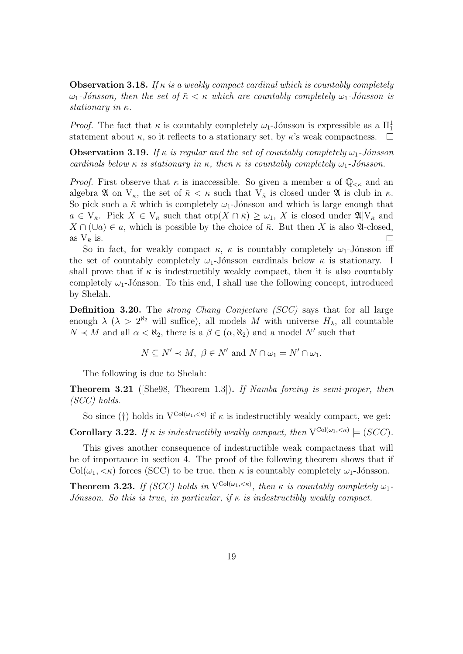**Observation 3.18.** If  $\kappa$  is a weakly compact cardinal which is countably completely  $ω_1$ -Jónsson, then the set of  $\bar{\kappa} < \kappa$  which are countably completely  $ω_1$ -Jónsson is stationary in κ.

*Proof.* The fact that  $\kappa$  is countably completely  $\omega_1$ -Jónsson is expressible as a  $\Pi_1^1$ statement about  $\kappa$ , so it reflects to a stationary set, by  $\kappa$ 's weak compactness.  $\Box$ 

**Observation 3.19.** If  $\kappa$  is regular and the set of countably completely  $\omega_1$ -Jónsson cardinals below κ is stationary in κ, then κ is countably completely  $\omega_1$ -Jónsson.

*Proof.* First observe that  $\kappa$  is inaccessible. So given a member a of  $\mathbb{Q}_{\leq \kappa}$  and an algebra  $\mathfrak A$  on  $V_{\kappa}$ , the set of  $\bar{\kappa} < \kappa$  such that  $V_{\bar{\kappa}}$  is closed under  $\mathfrak A$  is club in  $\kappa$ . So pick such a  $\bar{\kappa}$  which is completely  $\omega_1$ -Jónsson and which is large enough that  $a \in V_{\bar{\kappa}}$ . Pick  $X \in V_{\bar{\kappa}}$  such that  $otp(X \cap \bar{\kappa}) \geq \omega_1$ , X is closed under  $\mathfrak{A}|V_{\bar{\kappa}}$  and  $X \cap (\cup a) \in a$ , which is possible by the choice of  $\overline{\kappa}$ . But then X is also  $\mathfrak{A}$ -closed, as  $V_{\bar{\kappa}}$  is.  $\Box$ 

So in fact, for weakly compact  $\kappa$ ,  $\kappa$  is countably completely  $\omega_1$ -Jónsson iff the set of countably completely  $\omega_1$ -Jónsson cardinals below  $\kappa$  is stationary. I shall prove that if  $\kappa$  is indestructibly weakly compact, then it is also countably completely  $\omega_1$ -Jónsson. To this end, I shall use the following concept, introduced by Shelah.

Definition 3.20. The *strong Chang Conjecture (SCC)* says that for all large enough  $\lambda$  ( $\lambda > 2^{\aleph_2}$  will suffice), all models M with universe  $H_{\lambda}$ , all countable  $N \prec M$  and all  $\alpha < \aleph_2$ , there is a  $\beta \in (\alpha, \aleph_2)$  and a model N' such that

 $N \subseteq N' \prec M, \ \beta \in N'$  and  $N \cap \omega_1 = N' \cap \omega_1$ .

The following is due to Shelah:

**Theorem 3.21** (She98, Theorem 1.3). If Namba forcing is semi-proper, then (SCC) holds.

So since (†) holds in  $V^{Col(\omega_1,\langle\kappa\rangle)}$  if  $\kappa$  is indestructibly weakly compact, we get:

**Corollary 3.22.** If  $\kappa$  is indestructibly weakly compact, then  $V^{Col(\omega_1, \langle \kappa \rangle)} \models (SCC)$ .

This gives another consequence of indestructible weak compactness that will be of importance in section 4. The proof of the following theorem shows that if  $Col(\omega_1, \langle \kappa \rangle)$  forces (SCC) to be true, then  $\kappa$  is countably completely  $\omega_1$ -Jónsson.

**Theorem 3.23.** If (SCC) holds in  $V^{Col(\omega_1, \langle \kappa \rangle)}$ , then  $\kappa$  is countably completely  $\omega_1$ -Jónsson. So this is true, in particular, if  $\kappa$  is indestructibly weakly compact.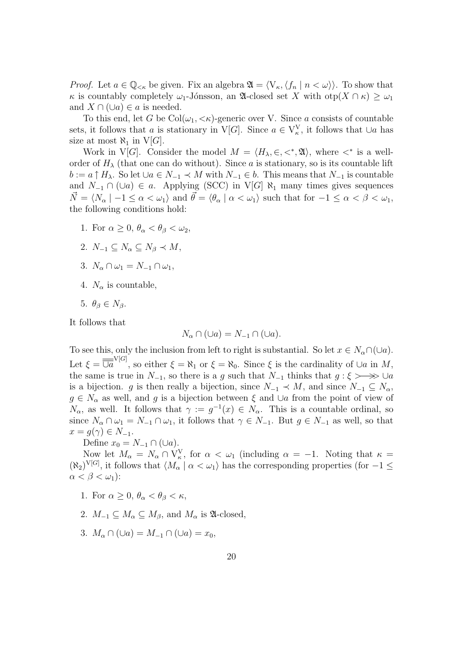*Proof.* Let  $a \in \mathbb{Q}_{\leq \kappa}$  be given. Fix an algebra  $\mathfrak{A} = \langle V_{\kappa}, \langle f_n | n \langle \omega \rangle \rangle$ . To show that  $\kappa$  is countably completely  $\omega_1$ -Jónsson, an  $\mathfrak{A}$ -closed set X with  $\text{otp}(X \cap \kappa) \geq \omega_1$ and  $X \cap (\cup a) \in a$  is needed.

To this end, let G be  $Col(\omega_1, \langle \kappa \rangle)$ -generic over V. Since a consists of countable sets, it follows that a is stationary in V[G]. Since  $a \in V_{\kappa}^{V}$ , it follows that  $\cup a$  has size at most  $\aleph_1$  in  $V[G]$ .

Work in V[G]. Consider the model  $M = \langle H_{\lambda}, \in, \lt^*, \mathfrak{A} \rangle$ , where  $\lt^*$  is a wellorder of  $H_{\lambda}$  (that one can do without). Since a is stationary, so is its countable lift  $b := a \uparrow H_\lambda$ . So let  $\cup a \in N_{-1} \prec M$  with  $N_{-1} \in b$ . This means that  $N_{-1}$  is countable and  $N_{-1} \cap (\cup a) \in a$ . Applying (SCC) in V[G]  $\aleph_1$  many times gives sequences  $\vec{N} = \langle N_{\alpha} \mid -1 \leq \alpha < \omega_1 \rangle$  and  $\vec{\theta} = \langle \theta_{\alpha} \mid \alpha < \omega_1 \rangle$  such that for  $-1 \leq \alpha < \beta < \omega_1$ , the following conditions hold:

- 1. For  $\alpha > 0$ ,  $\theta_{\alpha} < \theta_{\beta} < \omega_2$ ,
- 2.  $N_{-1} \subseteq N_{\alpha} \subseteq N_{\beta} \prec M$ ,
- 3.  $N_{\alpha} \cap \omega_1 = N_{-1} \cap \omega_1$ ,
- 4.  $N_{\alpha}$  is countable,
- 5.  $\theta_{\beta} \in N_{\beta}$ .

It follows that

$$
N_{\alpha} \cap (\cup a) = N_{-1} \cap (\cup a).
$$

To see this, only the inclusion from left to right is substantial. So let  $x \in N_\alpha \cap (\cup a)$ . Let  $\xi = \overline{\overline{Ua}}^{V[G]}$ , so either  $\xi = \aleph_1$  or  $\xi = \aleph_0$ . Since  $\xi$  is the cardinality of  $\cup a$  in M, the same is true in  $N_{-1}$ , so there is a g such that  $N_{-1}$  thinks that  $g: \xi \rightarrow \infty \cup a$ is a bijection. g is then really a bijection, since  $N_{-1} \prec M$ , and since  $N_{-1} \subseteq N_{\alpha}$ ,  $g \in N_\alpha$  as well, and g is a bijection between  $\xi$  and ∪a from the point of view of  $N_{\alpha}$ , as well. It follows that  $\gamma := g^{-1}(x) \in N_{\alpha}$ . This is a countable ordinal, so since  $N_{\alpha} \cap \omega_1 = N_{-1} \cap \omega_1$ , it follows that  $\gamma \in N_{-1}$ . But  $g \in N_{-1}$  as well, so that  $x = g(\gamma) \in N_{-1}.$ 

Define  $x_0 = N_{-1} \cap (\cup a)$ .

Now let  $M_{\alpha} = N_{\alpha} \cap V_{\kappa}^{V}$ , for  $\alpha < \omega_1$  (including  $\alpha = -1$ . Noting that  $\kappa =$  $(\aleph_2)^{V[G]}$ , it follows that  $\langle M_\alpha | \alpha < \omega_1 \rangle$  has the corresponding properties (for  $-1 \leq$  $\alpha < \beta < \omega_1$ ):

- 1. For  $\alpha > 0$ ,  $\theta_{\alpha} < \theta_{\beta} < \kappa$ ,
- 2.  $M_{-1} \subseteq M_{\alpha} \subseteq M_{\beta}$ , and  $M_{\alpha}$  is  $\mathfrak{A}\text{-closed}$ ,
- 3.  $M_{\alpha} \cap (\cup a) = M_{-1} \cap (\cup a) = x_0$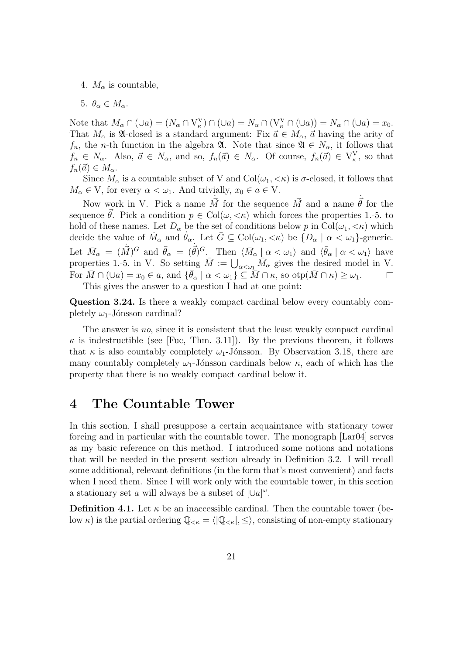- 4.  $M_{\alpha}$  is countable,
- 5.  $\theta_{\alpha} \in M_{\alpha}$ .

Note that  $M_{\alpha} \cap (\cup a) = (N_{\alpha} \cap V_{\kappa}^{V}) \cap (\cup a) = N_{\alpha} \cap (V_{\kappa}^{V} \cap (\cup a)) = N_{\alpha} \cap (\cup a) = x_{0}.$ That  $M_{\alpha}$  is  $\mathfrak A$ -closed is a standard argument: Fix  $\vec a \in M_{\alpha}$ ,  $\vec a$  having the arity of  $f_n$ , the *n*-th function in the algebra **A**. Note that since  $\mathfrak{A} \in N_\alpha$ , it follows that  $f_n \in N_\alpha$ . Also,  $\vec{a} \in N_\alpha$ , and so,  $f_n(\vec{a}) \in N_\alpha$ . Of course,  $f_n(\vec{a}) \in V_\kappa^V$ , so that  $f_n(\vec{a}) \in M_\alpha.$ 

Since  $M_{\alpha}$  is a countable subset of V and  $Col(\omega_1, \langle \kappa \rangle)$  is  $\sigma$ -closed, it follows that  $M_{\alpha} \in V$ , for every  $\alpha < \omega_1$ . And trivially,  $x_0 \in a \in V$ .

Now work in V. Pick a name  $\vec{M}$  for the sequence  $\vec{M}$  and a name  $\vec{\theta}$  for the sequence  $\theta$ . Pick a condition  $p \in Col(\omega, \langle \kappa \rangle)$  which forces the properties 1.-5. to hold of these names. Let  $D_{\alpha}$  be the set of conditions below p in Col $(\omega_1, \langle \kappa \rangle)$  which decide the value of  $\dot{M}_{\alpha}$  and  $\dot{\theta}_{\alpha}$ . Let  $\bar{G} \subseteq \text{Col}(\omega_1, \langle \kappa \rangle)$  be  $\{D_{\alpha} \mid \alpha \langle \omega_1 \rangle\}$ -generic. Let  $\bar{M}_{\alpha} = (\dot{\vec{M}})^{\bar{G}}$  and  $\bar{\theta}_{\alpha} = (\dot{\vec{\theta}})^{\bar{G}}$ . Then  $\langle \bar{M}_{\alpha} | \alpha < \omega_1 \rangle$  and  $\langle \bar{\theta}_{\alpha} | \alpha < \omega_1 \rangle$  have properties 1.-5. in V. So setting  $\bar{M} := \bigcup_{\alpha < \omega_1} \bar{M}_\alpha$  gives the desired model in V. For  $\overline{M} \cap (\cup a) = x_0 \in a$ , and  $\{\overline{\theta}_\alpha \mid \alpha < \omega_1\} \subseteq \overline{M} \cap \kappa$ , so  $otp(\overline{M} \cap \kappa) \geq \omega_1$ . This gives the answer to a question I had at one point:

Question 3.24. Is there a weakly compact cardinal below every countably completely  $\omega_1$ -Jónsson cardinal?

The answer is no, since it is consistent that the least weakly compact cardinal  $\kappa$  is indestructible (see [Fuc, Thm. 3.11]). By the previous theorem, it follows that  $\kappa$  is also countably completely  $\omega_1$ -Jónsson. By Observation 3.18, there are many countably completely  $\omega_1$ -Jónsson cardinals below  $\kappa$ , each of which has the property that there is no weakly compact cardinal below it.

### 4 The Countable Tower

In this section, I shall presuppose a certain acquaintance with stationary tower forcing and in particular with the countable tower. The monograph [Lar04] serves as my basic reference on this method. I introduced some notions and notations that will be needed in the present section already in Definition 3.2. I will recall some additional, relevant definitions (in the form that's most convenient) and facts when I need them. Since I will work only with the countable tower, in this section a stationary set a will always be a subset of  $[\cup a]^\omega$ .

**Definition 4.1.** Let  $\kappa$  be an inaccessible cardinal. Then the countable tower (below  $\kappa$ ) is the partial ordering  $\mathbb{Q}_{<\kappa} = \langle |\mathbb{Q}_{<\kappa}|, \leq \rangle$ , consisting of non-empty stationary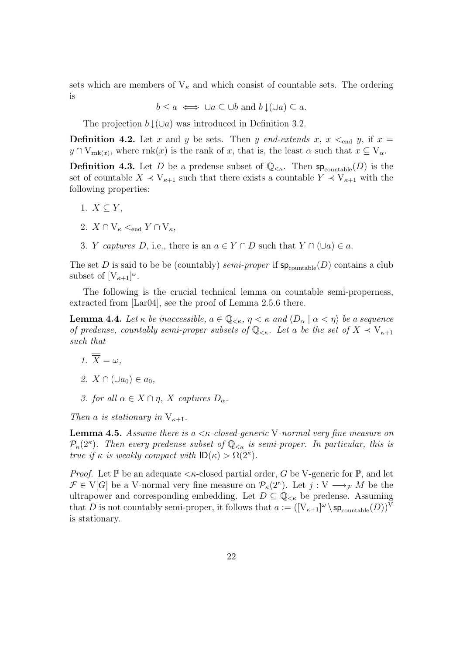sets which are members of  $V_{\kappa}$  and which consist of countable sets. The ordering is

$$
b \leq a \iff \cup a \subseteq \cup b \text{ and } b \downarrow (\cup a) \subseteq a.
$$

The projection  $b \downarrow (\cup a)$  was introduced in Definition 3.2.

**Definition 4.2.** Let x and y be sets. Then y end-extends x,  $x \leq_{\text{end}} y$ , if  $x =$  $y \cap V_{\text{rnk}(x)}$ , where  $\text{rnk}(x)$  is the rank of x, that is, the least  $\alpha$  such that  $x \subseteq V_{\alpha}$ .

**Definition 4.3.** Let D be a predense subset of  $\mathbb{Q}_{\leq\kappa}$ . Then  $sp_{\text{countable}}(D)$  is the set of countable  $X \prec V_{\kappa+1}$  such that there exists a countable  $Y \prec V_{\kappa+1}$  with the following properties:

- 1.  $X \subset Y$ ,
- 2.  $X \cap V_{\kappa} <_{\text{end}} Y \cap V_{\kappa}$ ,
- 3. *Y captures D*, i.e., there is an  $a \in Y \cap D$  such that  $Y \cap (\cup a) \in a$ .

The set D is said to be be (countably) semi-proper if  $sp_{\text{countable}}(D)$  contains a club subset of  $[V_{\kappa+1}]^{\omega}$ .

The following is the crucial technical lemma on countable semi-properness, extracted from [Lar04], see the proof of Lemma 2.5.6 there.

**Lemma 4.4.** Let  $\kappa$  be inaccessible,  $a \in \mathbb{Q}_{\leq \kappa}, \eta \leq \kappa$  and  $\langle D_{\alpha} \mid \alpha \leq \eta \rangle$  be a sequence of predense, countably semi-proper subsets of  $\mathbb{Q}_{\leq \kappa}$ . Let a be the set of  $X \prec V_{\kappa+1}$ such that

- 1.  $\overline{\overline{X}} = \omega$ ,
- 2.  $X \cap (\cup a_0) \in a_0$ .
- 3. for all  $\alpha \in X \cap \eta$ , X captures  $D_{\alpha}$ .

Then a is stationary in  $V_{\kappa+1}$ .

**Lemma 4.5.** Assume there is a  $\lt$  *k*-closed-generic V-normal very fine measure on  $\mathcal{P}_{\kappa}(2^{\kappa})$ . Then every predense subset of  $\mathbb{Q}_{\leq \kappa}$  is semi-proper. In particular, this is true if  $\kappa$  is weakly compact with  $\mathsf{ID}(\kappa) > \Omega(2^{\kappa}).$ 

*Proof.* Let  $\mathbb P$  be an adequate  $\lt k$ -closed partial order, G be V-generic for  $\mathbb P$ , and let  $\mathcal{F} \in V[G]$  be a V-normal very fine measure on  $\mathcal{P}_{\kappa}(2^{\kappa})$ . Let  $j: V \longrightarrow_{\mathcal{F}} M$  be the ultrapower and corresponding embedding. Let  $D \subseteq \mathbb{Q}_{<\kappa}$  be predense. Assuming that D is not countably semi-proper, it follows that  $a := ([V_{\kappa+1}]^{\omega} \setminus sp_{\text{countable}}(D))^V$ is stationary.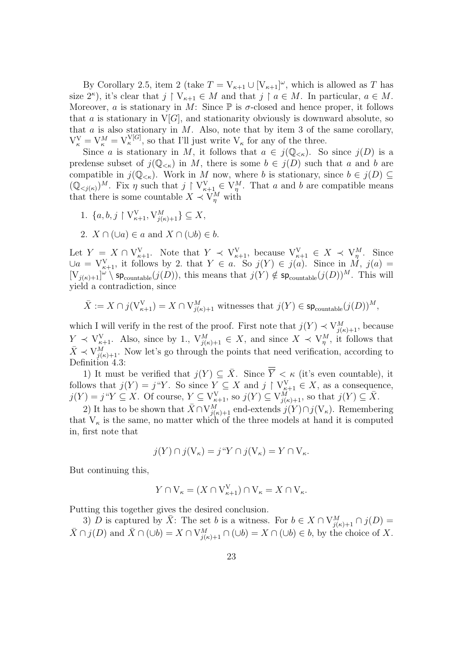By Corollary 2.5, item 2 (take  $T = V_{\kappa+1} \cup [V_{\kappa+1}]^{\omega}$ , which is allowed as T has size  $2^{\kappa}$ ), it's clear that  $j \restriction V_{\kappa+1} \in M$  and that  $j \restriction a \in M$ . In particular,  $a \in M$ . Moreover, a is stationary in M: Since  $\mathbb P$  is  $\sigma$ -closed and hence proper, it follows that a is stationary in  $V[G]$ , and stationarity obviously is downward absolute, so that  $a$  is also stationary in  $M$ . Also, note that by item 3 of the same corollary,  $V_{\kappa}^V = V_{\kappa}^M = V_{\kappa}^{V[G]}$ , so that I'll just write  $V_{\kappa}$  for any of the three.

Since a is stationary in M, it follows that  $a \in j(\mathbb{Q}_{< \kappa})$ . So since  $j(D)$  is a predense subset of  $j(\mathbb{Q}_{<\kappa})$  in M, there is some  $b \in j(D)$  such that a and b are compatible in  $j(\mathbb{Q}_{<\kappa})$ . Work in M now, where b is stationary, since  $b \in j(D) \subseteq$  $(Q_{\leq j(\kappa)})^M$ . Fix  $\eta$  such that  $j \restriction V_{\kappa+1}^V \in V_{\eta}^M$ . That a and b are compatible means that there is some countable  $X \prec V_{\eta}^M$  with

- 1.  $\{a, b, j \restriction V_{\kappa+1}^V, V_{j(\kappa)+1}^M\} \subseteq X$ ,
- 2.  $X \cap (\cup a) \in a$  and  $X \cap (\cup b) \in b$ .

Let  $Y = X \cap V^V_{\kappa+1}$ . Note that  $Y \prec V^V_{\kappa+1}$ , because  $V^V_{\kappa+1} \in X \prec V^M_{\eta}$ . Since  $\bigcup a = \mathcal{V}_{\kappa+1}^{\mathcal{V}},$  it follows by 2. that  $Y \in a$ . So  $j(Y) \in j(a)$ . Since in  $\mathcal{M}, j(a) =$  $[V_{j(\kappa)+1}]^{\omega} \setminus sp_{\text{countable}}(j(D))$ , this means that  $j(Y) \notin sp_{\text{countable}}(j(D))^M$ . This will yield a contradiction, since

$$
\bar{X} := X \cap j(V^{\mathbf{V}}_{\kappa+1}) = X \cap V^M_{j(\kappa)+1} \text{ withesses that } j(Y) \in \mathsf{sp}_{\text{countable}}(j(D))^M,
$$

which I will verify in the rest of the proof. First note that  $j(Y) \prec V^M_{j(\kappa)+1}$ , because  $Y \prec V^V_{\kappa+1}$ . Also, since by 1.,  $V^M_{j(\kappa)+1} \in X$ , and since  $X \prec V^M_{\eta}$ , it follows that  $\bar{X} \prec V_{j(\kappa)+1}^M$ . Now let's go through the points that need verification, according to Definition 4.3:

1) It must be verified that  $j(Y) \subseteq \overline{X}$ . Since  $\overline{\overline{Y}} < \kappa$  (it's even countable), it follows that  $j(Y) = j^{\alpha}Y$ . So since  $Y \subseteq X$  and  $j \restriction V_{\kappa+1}^V \in X$ , as a consequence,  $j(Y) = j "Y \subseteq X$ . Of course,  $Y \subseteq V^V_{\kappa+1}$ , so  $j(Y) \subseteq V^{M}_{j(\kappa)+1}$ , so that  $j(Y) \subseteq \overline{X}$ .

2) It has to be shown that  $\bar{X} \cap V^M_{j(\kappa)+1}$  end-extends  $j(Y) \cap j(V_{\kappa})$ . Remembering that  $V_{\kappa}$  is the same, no matter which of the three models at hand it is computed in, first note that

$$
j(Y) \cap j(V_{\kappa}) = j\text{``}Y \cap j(V_{\kappa}) = Y \cap V_{\kappa}.
$$

But continuing this,

$$
Y \cap \mathcal{V}_{\kappa} = (X \cap \mathcal{V}_{\kappa+1}^{\mathcal{V}}) \cap \mathcal{V}_{\kappa} = X \cap \mathcal{V}_{\kappa}.
$$

Putting this together gives the desired conclusion.

3) D is captured by  $\bar{X}$ : The set b is a witness. For  $b \in X \cap V^M_{j(\kappa)+1} \cap j(D) =$  $\bar{X} \cap j(D)$  and  $\bar{X} \cap (\cup b) = X \cap V_{j(k)+1}^M \cap (\cup b) = X \cap (\cup b) \in b$ , by the choice of X.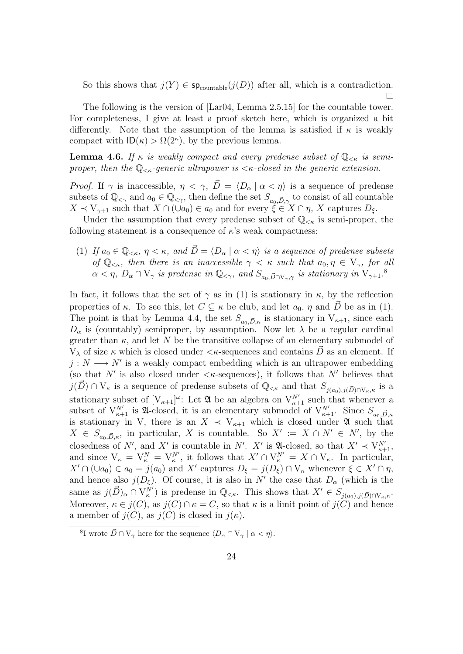So this shows that  $j(Y) \in \mathsf{sp}_{\text{countable}}(j(D))$  after all, which is a contradiction.  $\Box$ 

The following is the version of [Lar04, Lemma 2.5.15] for the countable tower. For completeness, I give at least a proof sketch here, which is organized a bit differently. Note that the assumption of the lemma is satisfied if  $\kappa$  is weakly compact with  $ID(\kappa) > \Omega(2^{\kappa})$ , by the previous lemma.

**Lemma 4.6.** If  $\kappa$  is weakly compact and every predense subset of  $\mathbb{Q}_{\leq \kappa}$  is semiproper, then the  $\mathbb{Q}_{\leq \kappa}$ -generic ultrapower is  $\leq \kappa$ -closed in the generic extension.

*Proof.* If  $\gamma$  is inaccessible,  $\eta < \gamma$ ,  $\vec{D} = \langle D_\alpha | \alpha < \eta \rangle$  is a sequence of predense subsets of  $\mathbb{Q}_{\leq \gamma}$  and  $a_0 \in \mathbb{Q}_{\leq \gamma}$ , then define the set  $S_{a_0, \vec{D}, \gamma}$  to consist of all countable  $X \prec V_{\gamma+1}$  such that  $X \cap (\cup a_0) \in a_0$  and for every  $\widetilde{\xi} \in X \cap \eta$ , X captures  $D_{\xi}$ .

Under the assumption that every predense subset of  $\mathbb{Q}_{\leq \kappa}$  is semi-proper, the following statement is a consequence of  $\kappa$ 's weak compactness:

(1) If  $a_0 \in \mathbb{Q}_{\leq \kappa}, \eta \leq \kappa$ , and  $\vec{D} = \langle D_\alpha \mid \alpha \leq \eta \rangle$  is a sequence of predense subsets of  $\mathbb{Q}_{\leq\kappa}$ , then there is an inaccessible  $\gamma<\kappa$  such that  $a_0, \eta\in V_{\gamma}$ , for all  $\alpha < \eta$ ,  $D_{\alpha} \cap V_{\gamma}$  is predense in  $\mathbb{Q}_{\leq \gamma}$ , and  $S_{a_0, \vec{D} \cap V_{\gamma}, \gamma}$  is stationary in  $V_{\gamma+1}$ .

In fact, it follows that the set of  $\gamma$  as in (1) is stationary in  $\kappa$ , by the reflection properties of  $\kappa$ . To see this, let  $C \subseteq \kappa$  be club, and let  $a_0, \eta$  and  $\overrightarrow{D}$  be as in (1). The point is that by Lemma 4.4, the set  $S_{a_0,\vec{D},\kappa}$  is stationary in  $V_{\kappa+1}$ , since each  $D_{\alpha}$  is (countably) semiproper, by assumption. Now let  $\lambda$  be a regular cardinal greater than  $\kappa$ , and let N be the transitive collapse of an elementary submodel of  $V_{\lambda}$  of size  $\kappa$  which is closed under  $\langle \kappa$ -sequences and contains  $\hat{D}$  as an element. If  $j: N \longrightarrow N'$  is a weakly compact embedding which is an ultrapower embedding (so that N' is also closed under  $\langle \kappa$ -sequences), it follows that N' believes that  $j(\vec{D}) \cap V_{\kappa}$  is a sequence of predense subsets of  $\mathbb{Q}_{<\kappa}$  and that  $S_{j(a_0),j(\vec{D}) \cap V_{\kappa},\kappa}$  is a stationary subset of  $[V_{\kappa+1}]^{\omega}$ : Let  $\mathfrak{A}$  be an algebra on  $V_{\kappa+1}^{N'}$  such that whenever a subset of  $V^{N'}_{\kappa+1}$  is 24-closed, it is an elementary submodel of  $V^{N'}_{\kappa+1}$ . Since  $S_{a_0,\vec{D},\kappa}$ is stationary in V, there is an  $X \prec V_{\kappa+1}$  which is closed under  $\mathfrak A$  such that  $X \in S_{a_0,\vec{D},\kappa}$ , in particular, X is countable. So  $X' := X \cap N' \in N'$ , by the closedness of N', and X' is countable in N'. X' is  $\mathfrak{A}\text{-closed}$ , so that  $X' \prec V_{\kappa+1}^{N'}$ , and since  $V_{\kappa} = V_{\kappa}^N = V_{\kappa}^{N'}$ , it follows that  $X' \cap V_{\kappa}^{N'} = X \cap V_{\kappa}$ . In particular,  $X' \cap (\cup a_0) \in a_0 = j(a_0)$  and X' captures  $D_{\xi} = j(D_{\xi}) \cap V_{\kappa}$  whenever  $\xi \in X' \cap \eta$ , and hence also  $j(D_{\xi})$ . Of course, it is also in N' the case that  $D_{\alpha}$  (which is the same as  $j(\vec{D})_{\alpha} \cap V_{\kappa}^{N'}$  is predense in  $\mathbb{Q}_{\leq \kappa}$ . This shows that  $X' \in S_{j(a_0),j(\vec{D}) \cap V_{\kappa},\kappa}$ . Moreover,  $\kappa \in j(C)$ , as  $j(C) \cap \kappa = C$ , so that  $\kappa$  is a limit point of  $j(C)$  and hence a member of  $j(C)$ , as  $j(C)$  is closed in  $j(\kappa)$ .

<sup>&</sup>lt;sup>8</sup>I wrote  $\vec{D} \cap V_{\gamma}$  here for the sequence  $\langle D_{\alpha} \cap V_{\gamma} | \alpha \langle \eta \rangle$ .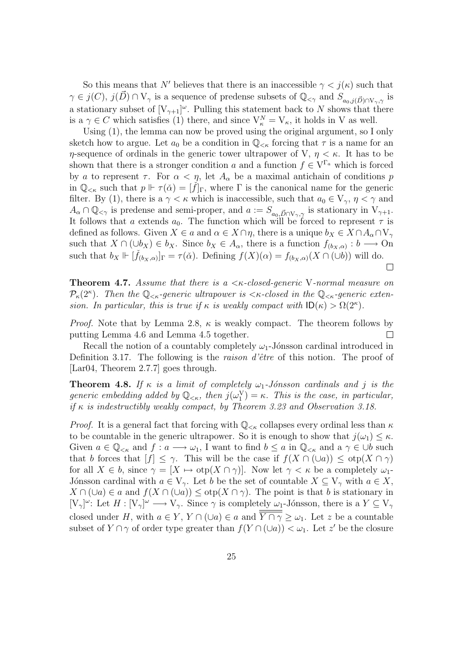So this means that N' believes that there is an inaccessible  $\gamma < j(\kappa)$  such that  $\gamma \in j(C)$ ,  $j(\vec{D}) \cap V_{\gamma}$  is a sequence of predense subsets of  $\mathbb{Q}_{\leq \gamma}$  and  $S_{a_0,j(\vec{D}) \cap V_{\gamma},\gamma}$  is a stationary subset of  $[V_{\gamma+1}]^{\omega}$ . Pulling this statement back to N shows that there is a  $\gamma \in C$  which satisfies (1) there, and since  $V_{\kappa}^{N} = V_{\kappa}$ , it holds in V as well.

Using (1), the lemma can now be proved using the original argument, so I only sketch how to argue. Let  $a_0$  be a condition in  $\mathbb{Q}_{<\kappa}$  forcing that  $\tau$  is a name for an η-sequence of ordinals in the generic tower ultrapower of V,  $η < κ$ . It has to be shown that there is a stronger condition a and a function  $f \in V^{\Gamma_a}$  which is forced by a to represent  $\tau$ . For  $\alpha < \eta$ , let  $A_{\alpha}$  be a maximal antichain of conditions p in  $\mathbb{Q}_{\leq \kappa}$  such that  $p \Vdash \tau(\check{\alpha}) = [f]_{\Gamma}$ , where  $\Gamma$  is the canonical name for the generic filter. By (1), there is a  $\gamma < \kappa$  which is inaccessible, such that  $a_0 \in V_{\gamma}$ ,  $\eta < \gamma$  and  $A_{\alpha} \cap \mathbb{Q}_{\leq \gamma}$  is predense and semi-proper, and  $a := S_{a_0, \vec{D} \cap V_{\gamma}, \gamma}$  is stationary in  $V_{\gamma+1}$ . It follows that a extends  $a_0$ . The function which will be forced to represent  $\tau$  is defined as follows. Given  $X \in a$  and  $\alpha \in X \cap \eta$ , there is a unique  $b_X \in X \cap A_\alpha \cap V_\gamma$ such that  $X \cap (\cup b_X) \in b_X$ . Since  $b_X \in A_\alpha$ , there is a function  $f_{(b_X,\alpha)} : b \longrightarrow 0$ n such that  $b_X \Vdash [\check{f}_{(b_X,\alpha)}]_{\Gamma} = \tau(\check{\alpha})$ . Defining  $f(X)(\alpha) = f_{(b_X,\alpha)}(X \cap (\cup b))$  will do.  $\Box$ 

**Theorem 4.7.** Assume that there is a  $\lt$   $\lt$   $\lt$ -closed-generic V-normal measure on  $\mathcal{P}_{\kappa}(2^{\kappa})$ . Then the  $\mathbb{Q}_{\leq \kappa}$ -generic ultrapower is  $\leq \kappa$ -closed in the  $\mathbb{Q}_{\leq \kappa}$ -generic extension. In particular, this is true if  $\kappa$  is weakly compact with  $\mathsf{ID}(\kappa) > \Omega(2^{\kappa})$ .

*Proof.* Note that by Lemma 2.8,  $\kappa$  is weakly compact. The theorem follows by  $\Box$ putting Lemma 4.6 and Lemma 4.5 together.

Recall the notion of a countably completely  $\omega_1$ -Jónsson cardinal introduced in Definition 3.17. The following is the *raison d'être* of this notion. The proof of [Lar04, Theorem 2.7.7] goes through.

**Theorem 4.8.** If  $\kappa$  is a limit of completely  $\omega_1$ -Jónsson cardinals and j is the generic embedding added by  $\mathbb{Q}_{<\kappa}$ , then  $j(\omega_1^V) = \kappa$ . This is the case, in particular, if  $\kappa$  is indestructibly weakly compact, by Theorem 3.23 and Observation 3.18.

*Proof.* It is a general fact that forcing with  $\mathbb{Q}_{< \kappa}$  collapses every ordinal less than  $\kappa$ to be countable in the generic ultrapower. So it is enough to show that  $j(\omega_1) \leq \kappa$ . Given  $a \in \mathbb{Q}_{<\kappa}$  and  $f: a \longrightarrow \omega_1$ , I want to find  $b \leq a$  in  $\mathbb{Q}_{<\kappa}$  and  $a \gamma \in \cup b$  such that b forces that  $[f] \leq \gamma$ . This will be the case if  $f(X \cap (\cup a)) \leq \text{otp}(X \cap \gamma)$ for all  $X \in b$ , since  $\gamma = [X \mapsto \text{otp}(X \cap \gamma)]$ . Now let  $\gamma < \kappa$  be a completely  $\omega_1$ -Jónsson cardinal with  $a \in V_{\gamma}$ . Let b be the set of countable  $X \subseteq V_{\gamma}$  with  $a \in X$ ,  $X \cap (\cup a) \in a$  and  $f(X \cap (\cup a)) \leq \text{otp}(X \cap \gamma)$ . The point is that b is stationary in  $[V_\gamma]^\omega$ : Let  $H : [V_\gamma]^\omega \longrightarrow V_\gamma$ . Since  $\gamma$  is completely  $\omega_1$ -Jónsson, there is a  $Y \subseteq V_\gamma$ closed under H, with  $a \in Y$ ,  $Y \cap (\cup a) \in a$  and  $\overline{Y \cap \gamma} \ge \omega_1$ . Let z be a countable subset of  $Y \cap \gamma$  of order type greater than  $f(Y \cap (\cup a)) < \omega_1$ . Let z' be the closure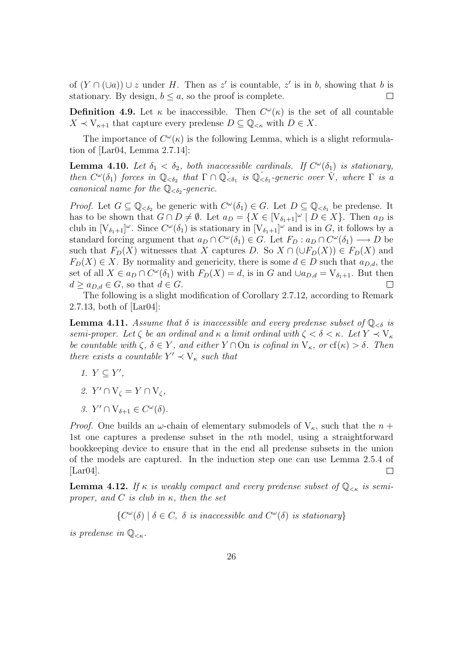of  $(Y \cap (\cup a)) \cup z$  under H. Then as z' is countable, z' is in b, showing that b is stationary. By design,  $b \leq a$ , so the proof is complete.  $\Box$ 

**Definition 4.9.** Let  $\kappa$  be inaccessible. Then  $C^{\omega}(\kappa)$  is the set of all countable  $X \prec V_{\kappa+1}$  that capture every predense  $D \subseteq \mathbb{Q}_{<\kappa}$  with  $D \in X$ .

The importance of  $C^{\omega}(\kappa)$  is the following Lemma, which is a slight reformulation of [Lar04, Lemma 2.7.14]:

**Lemma 4.10.** Let  $\delta_1 < \delta_2$ , both inaccessible cardinals. If  $C^{\omega}(\delta_1)$  is stationary, then  $C^{\omega}(\delta_1)$  forces in  $\mathbb{Q}_{<\delta_2}$  that  $\Gamma \cap \mathbb{Q}_{<\delta_1}^{\sim}$  is  $\mathbb{Q}_{<\delta_1}^{\sim}$ -generic over  $\check{V}$ , where  $\Gamma$  is a canonical name for the  $\mathbb{Q}_{<\delta_2}$ -generic.

*Proof.* Let  $G \subseteq \mathbb{Q}_{< \delta_2}$  be generic with  $C^{\omega}(\delta_1) \in G$ . Let  $D \subseteq \mathbb{Q}_{< \delta_1}$  be predense. It has to be shown that  $G \cap D \neq \emptyset$ . Let  $a_D = \{X \in [V_{\delta_1+1}]^{\omega} \mid D \in X\}$ . Then  $a_D$  is club in  $[V_{\delta_1+1}]^{\omega}$ . Since  $C^{\omega}(\delta_1)$  is stationary in  $[V_{\delta_1+1}]^{\omega}$  and is in G, it follows by a standard forcing argument that  $a_D \cap C^{\omega}(\delta_1) \in G$ . Let  $F_D : a_D \cap C^{\omega}(\delta_1) \longrightarrow D$  be such that  $F_D(X)$  witnesses that X captures D. So  $X \cap (\cup F_D(X)) \in F_D(X)$  and  $F_D(X) \in X$ . By normality and genericity, there is some  $d \in D$  such that  $a_{D,d}$ , the set of all  $X \in a_D \cap C^{\omega}(\delta_1)$  with  $F_D(X) = d$ , is in G and  $\cup a_{D,d} = V_{\delta_1+1}$ . But then  $d \ge a_{D,d} \in G$ , so that  $d \in G$ .  $\Box$ 

The following is a slight modification of Corollary 2.7.12, according to Remark 2.7.13, both of [Lar04]:

**Lemma 4.11.** Assume that  $\delta$  is inaccessible and every predense subset of  $\mathbb{Q}_{\leq \delta}$  is semi-proper. Let  $\zeta$  be an ordinal and  $\kappa$  a limit ordinal with  $\zeta < \delta < \kappa$ . Let  $Y \prec V_{\kappa}$ be countable with  $\zeta, \delta \in Y$ , and either  $Y \cap \overline{\mathrm{On}}$  is cofinal in  $V_{\kappa}$ , or  $cf(\kappa) > \delta$ . Then there exists a countable  $Y' \prec V_{\kappa}$  such that

- 1.  $Y \subseteq Y'$ ,
- 2.  $Y' \cap V_{\zeta} = Y \cap V_{\zeta}$ ,
- 3.  $Y' \cap V_{\delta+1} \in C^{\omega}(\delta)$ .

*Proof.* One builds an  $\omega$ -chain of elementary submodels of  $V_{\kappa}$ , such that the  $n +$ 1st one captures a predense subset in the nth model, using a straightforward bookkeeping device to ensure that in the end all predense subsets in the union of the models are captured. In the induction step one can use Lemma 2.5.4 of  $[Lar04]$ .  $\Box$ 

**Lemma 4.12.** If  $\kappa$  is weakly compact and every predense subset of  $\mathbb{Q}_{<\kappa}$  is semiproper, and C is club in  $\kappa$ , then the set

 $\{C^{\omega}(\delta) \mid \delta \in C, \delta \text{ is inaccessible and } C^{\omega}(\delta) \text{ is stationary}\}\$ 

is predense in  $\mathbb{Q}_{\leq \kappa}$ .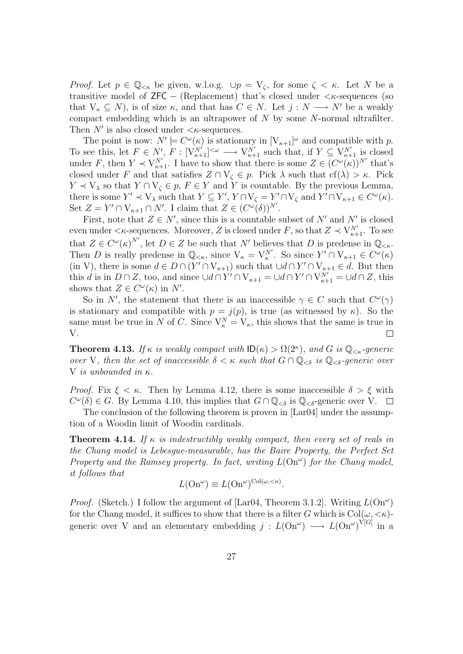*Proof.* Let  $p \in \mathbb{Q}_{<\kappa}$  be given, w.l.o.g.  $\cup p = V_\zeta$ , for some  $\zeta < \kappa$ . Let N be a transitive model of  $ZFC - (Replacement)$  that's closed under  $\langle \kappa\text{-sequences} \rangle$  (so that  $V_{\kappa} \subseteq N$ ), is of size  $\kappa$ , and that has  $C \in N$ . Let  $j : N \longrightarrow N'$  be a weakly compact embedding which is an ultrapower of  $N$  by some  $N$ -normal ultrafilter. Then  $N'$  is also closed under  $\langle \kappa$ -sequences.

The point is now:  $N' \models C^{\omega}(\kappa)$  is stationary in  $[V_{\kappa+1}]^{\omega}$  and compatible with p. To see this, let  $F \in N'$ ,  $F : [V_{\kappa+1}^{N'}]^{<\omega} \longrightarrow V_{\kappa+1}^{N'}$  such that, if  $Y \subseteq V_{\kappa+1}^{N'}$  is closed under F, then  $Y \prec V^{N'}_{\kappa+1}$ . I have to show that there is some  $Z \in (C^{\omega}(\kappa))^{N'}$  that's closed under F and that satisfies  $Z \cap V_{\zeta} \in p$ . Pick  $\lambda$  such that  $cf(\lambda) > \kappa$ . Pick  $Y \prec V_\lambda$  so that  $Y \cap V_\zeta \in p$ ,  $F \in Y$  and Y is countable. By the previous Lemma, there is some  $Y' \prec V_{\lambda}$  such that  $Y \subseteq Y', Y \cap V_{\zeta} = Y' \cap V_{\zeta}$  and  $Y' \cap V_{\kappa+1} \in C^{\omega}(\kappa)$ . Set  $Z = Y' \cap V_{\kappa+1} \cap N'$ . I claim that  $Z \in (C^{\omega}(\delta))^{N'}$ .

First, note that  $Z \in N'$ , since this is a countable subset of N' and N' is closed even under  $\lt \kappa$ -sequences. Moreover, Z is closed under F, so that  $Z \prec V^{N'}_{\kappa+1}$ . To see that  $Z \in C^{\omega}(\kappa)^{N'}$ , let  $D \in \mathbb{Z}$  be such that N' believes that D is predense in  $\mathbb{Q}_{\leq \kappa}$ . Then D is really predense in  $\mathbb{Q}_{<\kappa}$ , since  $V_{\kappa} = V_{\kappa}^{N'}$ . So since  $Y' \cap V_{\kappa+1} \in C^{\omega}(\kappa)$ (in V), there is some  $d \in D \cap (Y' \cap V_{\kappa+1})$  such that  $\cup d \cap Y' \cap V_{\kappa+1} \in d$ . But then this d is in  $D \cap Z$ , too, and since  $\cup d \cap Y' \cap V_{\kappa+1} = \cup d \cap Y' \cap V_{\kappa+1}^{N'} = \cup d \cap Z$ , this shows that  $Z \in C^{\omega}(\kappa)$  in N'.

So in N', the statement that there is an inaccessible  $\gamma \in C$  such that  $C^{\omega}(\gamma)$ is stationary and compatible with  $p = j(p)$ , is true (as witnessed by  $\kappa$ ). So the same must be true in N of C. Since  $V_{\kappa}^{N} = V_{\kappa}$ , this shows that the same is true in V.  $\Box$ 

**Theorem 4.13.** If  $\kappa$  is weakly compact with  $ID(\kappa) > \Omega(2^{\kappa})$ , and G is  $\mathbb{Q}_{\leq \kappa}$ -generic over V, then the set of inaccessible  $\delta < \kappa$  such that  $G \cap \mathbb{Q}_{\leq \delta}$  is  $\mathbb{Q}_{\leq \delta}$ -generic over V is unbounded in  $\kappa$ .

*Proof.* Fix  $\xi < \kappa$ . Then by Lemma 4.12, there is some inaccessible  $\delta > \xi$  with  $C^{\omega}(\delta) \in G$ . By Lemma 4.10, this implies that  $G \cap \mathbb{Q}_{\leq \delta}$  is  $\mathbb{Q}_{\leq \delta}$ -generic over V.

The conclusion of the following theorem is proven in [Lar04] under the assumption of a Woodin limit of Woodin cardinals.

**Theorem 4.14.** If  $\kappa$  is indestructibly weakly compact, then every set of reals in the Chang model is Lebesgue-measurable, has the Baire Property, the Perfect Set Property and the Ramsey property. In fact, writing  $L(\text{On}^{\omega})$  for the Chang model, it follows that

$$
L(\mathrm{On}^{\omega}) \equiv L(\mathrm{On}^{\omega})^{\mathrm{Col}(\omega,<\kappa)}.
$$

*Proof.* (Sketch.) I follow the argument of [Lar04, Theorem 3.1.2]. Writing  $L(\text{On}^{\omega})$ for the Chang model, it suffices to show that there is a filter G which is  $Col(\omega, <\kappa)$ generic over V and an elementary embedding  $j: L(\text{On}^{\omega}) \longrightarrow L(\text{On}^{\omega})^{\text{V}[G]}$  in a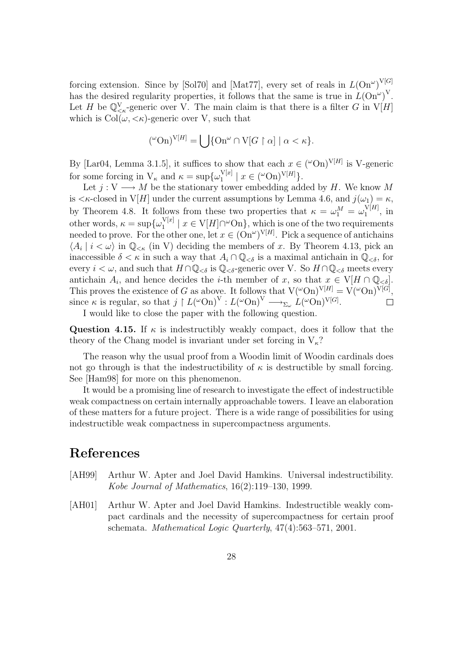forcing extension. Since by [Sol70] and [Mat77], every set of reals in  $L(\text{On}^{\omega})^{\text{V}[G]}$ has the desired regularity properties, it follows that the same is true in  $L(\text{On}^{\omega})^{\text{V}}$ . Let H be  $\mathbb{Q}^V_{\leq \kappa}$ -generic over V. The main claim is that there is a filter G in  $V[H]$ which is  $Col(\omega, <\kappa)$ -generic over V, such that

$$
({}^{\omega} \text{On})^{\text{V}[H]} = \bigcup \{ \text{On}^{\omega} \cap \text{V}[G \restriction \alpha] \mid \alpha < \kappa \}.
$$

By [Lar04, Lemma 3.1.5], it suffices to show that each  $x \in ({}^{\omega}On)^{V[H]}$  is V-generic for some forcing in  $V_{\kappa}$  and  $\kappa = \sup \{\omega_1^{V[x]}$  $\binom{V[x]}{1}$  |  $x \in {\binom{\omega}{0}}$   $\binom{V[H]}{1}$ .

Let  $j: V \longrightarrow M$  be the stationary tower embedding added by H. We know M is  $\lt \kappa$ -closed in V[H] under the current assumptions by Lemma 4.6, and  $j(\omega_1) = \kappa$ , by Theorem 4.8. It follows from these two properties that  $\kappa = \omega_1^M = \omega_1^{V[H]}$  $\int_1^{\sqrt{H}}$ , in other words,  $\kappa = \sup \{ \omega_1^{\mathbf{V}[x]} \}$  $\mathbb{1}^{\mathcal{N}[x]} \mid x \in \mathcal{V}[H] \cap \omega \text{On}$ , which is one of the two requirements needed to prove. For the other one, let  $x \in (\text{On}^{\omega})^{V[H]}$ . Pick a sequence of antichains  $\langle A_i | i < \omega \rangle$  in  $\mathbb{Q}_{\leq \kappa}$  (in V) deciding the members of x. By Theorem 4.13, pick an inaccessible  $\delta < \kappa$  in such a way that  $A_i \cap \mathbb{Q}_{\leq \delta}$  is a maximal antichain in  $\mathbb{Q}_{\leq \delta}$ , for every  $i < \omega$ , and such that  $H \cap \mathbb{Q}_{\leq \delta}$  is  $\mathbb{Q}_{\leq \delta}$ -generic over V. So  $H \cap \mathbb{Q}_{\leq \delta}$  meets every antichain  $A_i$ , and hence decides the *i*-th member of x, so that  $x \in V[H \cap \mathbb{Q}_{< \delta}]$ . This proves the existence of G as above. It follows that  $V({}^{\omega}On)^{V[H]} = V({}^{\omega}On)^{V[G]}$ , since  $\kappa$  is regular, so that  $j \restriction L({}^{\omega} \text{On})^{\text{V}} : L({}^{\omega} \text{On})^{\text{V}} \longrightarrow_{\Sigma_{\omega}} L({}^{\omega} \text{On})^{\text{V}[G]}$ .

I would like to close the paper with the following question.

Question 4.15. If  $\kappa$  is indestructibly weakly compact, does it follow that the theory of the Chang model is invariant under set forcing in  $V_{\kappa}$ ?

The reason why the usual proof from a Woodin limit of Woodin cardinals does not go through is that the indestructibility of  $\kappa$  is destructible by small forcing. See [Ham98] for more on this phenomenon.

It would be a promising line of research to investigate the effect of indestructible weak compactness on certain internally approachable towers. I leave an elaboration of these matters for a future project. There is a wide range of possibilities for using indestructible weak compactness in supercompactness arguments.

# References

- [AH99] Arthur W. Apter and Joel David Hamkins. Universal indestructibility. Kobe Journal of Mathematics, 16(2):119–130, 1999.
- [AH01] Arthur W. Apter and Joel David Hamkins. Indestructible weakly compact cardinals and the necessity of supercompactness for certain proof schemata. Mathematical Logic Quarterly, 47(4):563–571, 2001.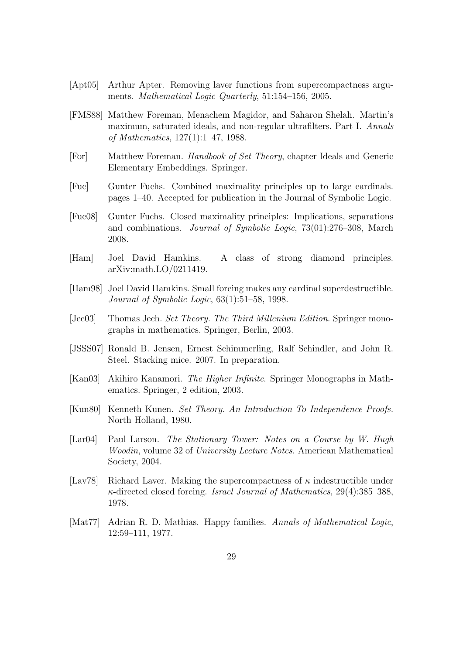- [Apt05] Arthur Apter. Removing laver functions from supercompactness arguments. Mathematical Logic Quarterly, 51:154–156, 2005.
- [FMS88] Matthew Foreman, Menachem Magidor, and Saharon Shelah. Martin's maximum, saturated ideals, and non-regular ultrafilters. Part I. Annals of Mathematics, 127(1):1–47, 1988.
- [For] Matthew Foreman. Handbook of Set Theory, chapter Ideals and Generic Elementary Embeddings. Springer.
- [Fuc] Gunter Fuchs. Combined maximality principles up to large cardinals. pages 1–40. Accepted for publication in the Journal of Symbolic Logic.
- [Fuc08] Gunter Fuchs. Closed maximality principles: Implications, separations and combinations. Journal of Symbolic Logic, 73(01):276–308, March 2008.
- [Ham] Joel David Hamkins. A class of strong diamond principles. arXiv:math.LO/0211419.
- [Ham98] Joel David Hamkins. Small forcing makes any cardinal superdestructible. Journal of Symbolic Logic, 63(1):51–58, 1998.
- [Jec03] Thomas Jech. Set Theory. The Third Millenium Edition. Springer monographs in mathematics. Springer, Berlin, 2003.
- [JSSS07] Ronald B. Jensen, Ernest Schimmerling, Ralf Schindler, and John R. Steel. Stacking mice. 2007. In preparation.
- [Kan03] Akihiro Kanamori. The Higher Infinite. Springer Monographs in Mathematics. Springer, 2 edition, 2003.
- [Kun80] Kenneth Kunen. Set Theory. An Introduction To Independence Proofs. North Holland, 1980.
- [Lar04] Paul Larson. The Stationary Tower: Notes on a Course by W. Hugh Woodin, volume 32 of University Lecture Notes. American Mathematical Society, 2004.
- [Lav78] Richard Laver. Making the supercompactness of  $\kappa$  indestructible under κ-directed closed forcing. Israel Journal of Mathematics, 29(4):385–388, 1978.
- [Mat77] Adrian R. D. Mathias. Happy families. Annals of Mathematical Logic, 12:59–111, 1977.